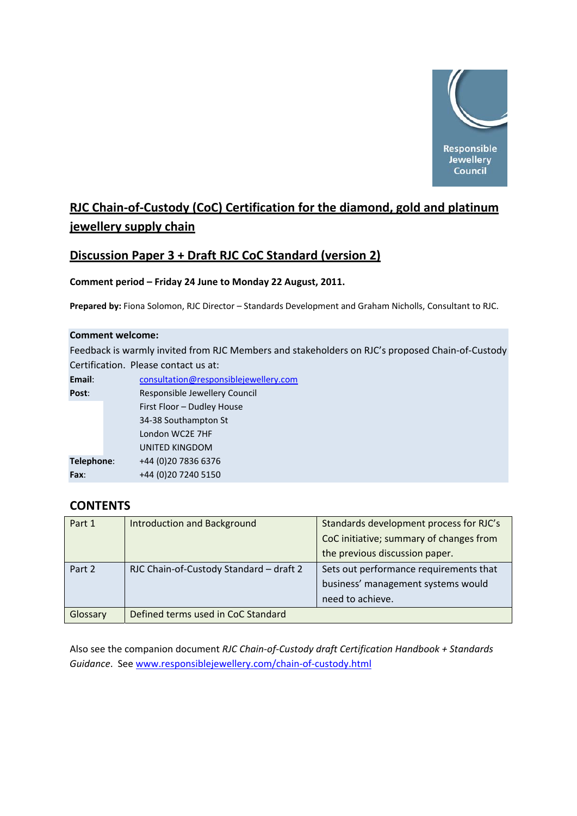

# **RJC Chain‐of‐Custody (CoC) Certification for the diamond, gold and platinum jewellery supply chain**

# **Discussion Paper 3 + Draft RJC CoC Standard (version 2)**

## **Comment period – Friday 24 June to Monday 22 August, 2011.**

**Prepared by:** Fiona Solomon, RJC Director – Standards Development and Graham Nicholls, Consultant to RJC.

|            | <b>Comment welcome:</b>                                                                         |
|------------|-------------------------------------------------------------------------------------------------|
|            | Feedback is warmly invited from RJC Members and stakeholders on RJC's proposed Chain-of-Custody |
|            | Certification. Please contact us at:                                                            |
| Email:     | consultation@responsiblejewellery.com                                                           |
| Post:      | Responsible Jewellery Council                                                                   |
|            | First Floor - Dudley House                                                                      |
|            | 34-38 Southampton St                                                                            |
|            | London WC2E 7HF                                                                                 |
|            | UNITED KINGDOM                                                                                  |
| Telephone: | +44 (0) 20 7836 6376                                                                            |
| Fax:       | +44 (0) 20 7240 5150                                                                            |

# **CONTENTS**

| Part 1   | <b>Introduction and Background</b>      | Standards development process for RJC's |
|----------|-----------------------------------------|-----------------------------------------|
|          |                                         | CoC initiative; summary of changes from |
|          |                                         | the previous discussion paper.          |
| Part 2   | RJC Chain-of-Custody Standard - draft 2 | Sets out performance requirements that  |
|          |                                         | business' management systems would      |
|          |                                         | need to achieve.                        |
| Glossary | Defined terms used in CoC Standard      |                                         |

Also see the companion document *RJC Chain‐of‐Custody draft Certification Handbook + Standards Guidance*. See [www.responsiblejewellery.com/chain](http://www.responsiblejewellery.com/chain-of-custody.html)‐of‐custody.html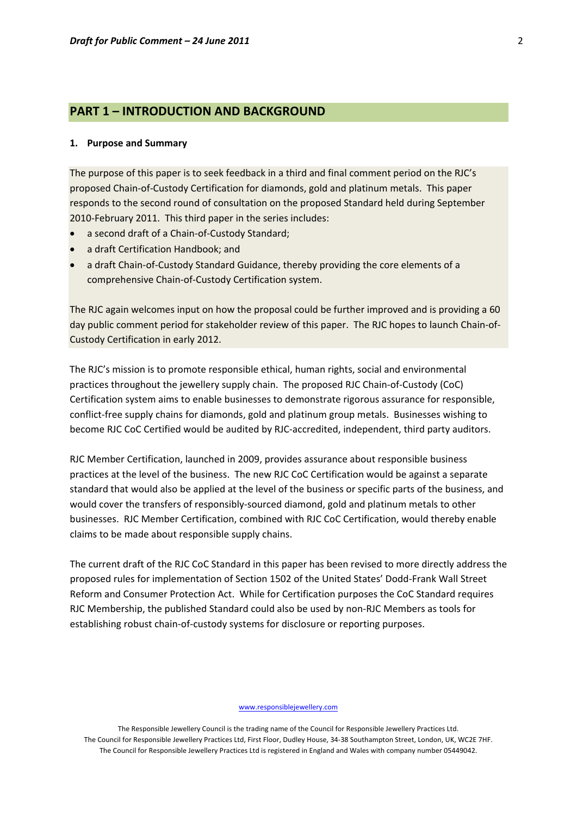# **PART 1 – INTRODUCTION AND BACKGROUND**

#### **1. Purpose and Summary**

The purpose of this paper is to seek feedback in a third and final comment period on the RJC's proposed Chain‐of‐Custody Certification for diamonds, gold and platinum metals. This paper responds to the second round of consultation on the proposed Standard held during September 2010‐February 2011. This third paper in the series includes:

- a second draft of a Chain-of-Custody Standard;
- a draft Certification Handbook; and
- a draft Chain-of-Custody Standard Guidance, thereby providing the core elements of a comprehensive Chain‐of‐Custody Certification system.

The RJC again welcomes input on how the proposal could be further improved and is providing a 60 day public comment period for stakeholder review of this paper. The RJC hopes to launch Chain‐of‐ Custody Certification in early 2012.

The RJC's mission is to promote responsible ethical, human rights, social and environmental practices throughout the jewellery supply chain. The proposed RJC Chain‐of‐Custody (CoC) Certification system aims to enable businesses to demonstrate rigorous assurance for responsible, conflict-free supply chains for diamonds, gold and platinum group metals. Businesses wishing to become RJC CoC Certified would be audited by RJC‐accredited, independent, third party auditors.

RJC Member Certification, launched in 2009, provides assurance about responsible business practices at the level of the business. The new RJC CoC Certification would be against a separate standard that would also be applied at the level of the business or specific parts of the business, and would cover the transfers of responsibly‐sourced diamond, gold and platinum metals to other businesses. RJC Member Certification, combined with RJC CoC Certification, would thereby enable claims to be made about responsible supply chains.

The current draft of the RJC CoC Standard in this paper has been revised to more directly address the proposed rules for implementation of Section 1502 of the United States' Dodd‐Frank Wall Street Reform and Consumer Protection Act. While for Certification purposes the CoC Standard requires RJC Membership, the published Standard could also be used by non‐RJC Members as tools for establishing robust chain‐of‐custody systems for disclosure or reporting purposes.

#### www.responsiblejewellery.com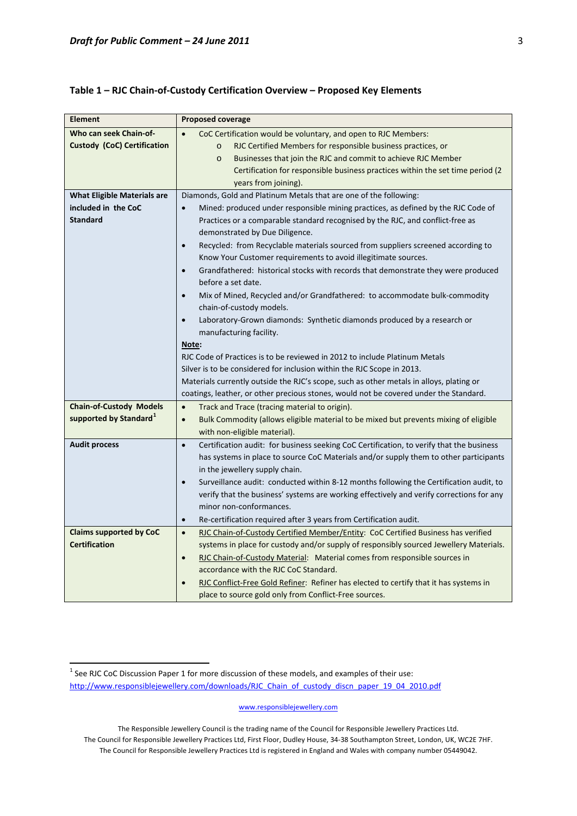| <b>Element</b>                                               | <b>Proposed coverage</b>                                                                                                                                                         |
|--------------------------------------------------------------|----------------------------------------------------------------------------------------------------------------------------------------------------------------------------------|
| Who can seek Chain-of-<br><b>Custody (CoC) Certification</b> | CoC Certification would be voluntary, and open to RJC Members:                                                                                                                   |
|                                                              | RJC Certified Members for responsible business practices, or<br>$\circ$<br>Businesses that join the RJC and commit to achieve RJC Member<br>$\circ$                              |
|                                                              | Certification for responsible business practices within the set time period (2                                                                                                   |
|                                                              | years from joining).                                                                                                                                                             |
| <b>What Eligible Materials are</b>                           | Diamonds, Gold and Platinum Metals that are one of the following:                                                                                                                |
| included in the CoC                                          | Mined: produced under responsible mining practices, as defined by the RJC Code of<br>$\bullet$                                                                                   |
| <b>Standard</b>                                              | Practices or a comparable standard recognised by the RJC, and conflict-free as                                                                                                   |
|                                                              | demonstrated by Due Diligence.<br>$\bullet$                                                                                                                                      |
|                                                              | Recycled: from Recyclable materials sourced from suppliers screened according to<br>Know Your Customer requirements to avoid illegitimate sources.                               |
|                                                              | Grandfathered: historical stocks with records that demonstrate they were produced                                                                                                |
|                                                              | before a set date.                                                                                                                                                               |
|                                                              | Mix of Mined, Recycled and/or Grandfathered: to accommodate bulk-commodity<br>$\bullet$                                                                                          |
|                                                              | chain-of-custody models.                                                                                                                                                         |
|                                                              | Laboratory-Grown diamonds: Synthetic diamonds produced by a research or<br>$\bullet$                                                                                             |
|                                                              | manufacturing facility.                                                                                                                                                          |
|                                                              | Note:                                                                                                                                                                            |
|                                                              | RJC Code of Practices is to be reviewed in 2012 to include Platinum Metals                                                                                                       |
|                                                              | Silver is to be considered for inclusion within the RJC Scope in 2013.                                                                                                           |
|                                                              | Materials currently outside the RJC's scope, such as other metals in alloys, plating or<br>coatings, leather, or other precious stones, would not be covered under the Standard. |
| <b>Chain-of-Custody Models</b>                               | Track and Trace (tracing material to origin).<br>$\bullet$                                                                                                                       |
| supported by Standard <sup>1</sup>                           | Bulk Commodity (allows eligible material to be mixed but prevents mixing of eligible<br>$\bullet$                                                                                |
|                                                              | with non-eligible material).                                                                                                                                                     |
| <b>Audit process</b>                                         | Certification audit: for business seeking CoC Certification, to verify that the business<br>$\bullet$                                                                            |
|                                                              | has systems in place to source CoC Materials and/or supply them to other participants                                                                                            |
|                                                              | in the jewellery supply chain.                                                                                                                                                   |
|                                                              | Surveillance audit: conducted within 8-12 months following the Certification audit, to<br>$\bullet$                                                                              |
|                                                              | verify that the business' systems are working effectively and verify corrections for any                                                                                         |
|                                                              | minor non-conformances.                                                                                                                                                          |
|                                                              | Re-certification required after 3 years from Certification audit.<br>$\bullet$                                                                                                   |
| <b>Claims supported by CoC</b>                               | <b>RJC Chain-of-Custody Certified Member/Entity: CoC Certified Business has verified</b><br>$\bullet$                                                                            |
| <b>Certification</b>                                         | systems in place for custody and/or supply of responsibly sourced Jewellery Materials.                                                                                           |
|                                                              | RJC Chain-of-Custody Material: Material comes from responsible sources in<br>$\bullet$                                                                                           |
|                                                              | accordance with the RJC CoC Standard.                                                                                                                                            |
|                                                              | RJC Conflict-Free Gold Refiner: Refiner has elected to certify that it has systems in                                                                                            |
|                                                              | place to source gold only from Conflict-Free sources.                                                                                                                            |

#### **Table 1 – RJC Chain‐of‐Custody Certification Overview – Proposed Key Elements**

www.responsiblejewellery.com

<span id="page-2-0"></span> $<sup>1</sup>$  See RJC CoC Discussion Paper 1 for more discussion of these models, and examples of their use:</sup> [http://www.responsiblejewellery.com/downloads/RJC\\_Chain\\_of\\_custody\\_discn\\_paper\\_19\\_04\\_2010.pdf](http://www.responsiblejewellery.com/downloads/RJC_Chain_of_custody_discn_paper_19_04_2010.pdf)

The Responsible Jewellery Council is the trading name of the Council for Responsible Jewellery Practices Ltd. The Council for Responsible Jewellery Practices Ltd, First Floor, Dudley House, 34‐38 Southampton Street, London, UK, WC2E 7HF. The Council for Responsible Jewellery Practices Ltd is registered in England and Wales with company number 05449042.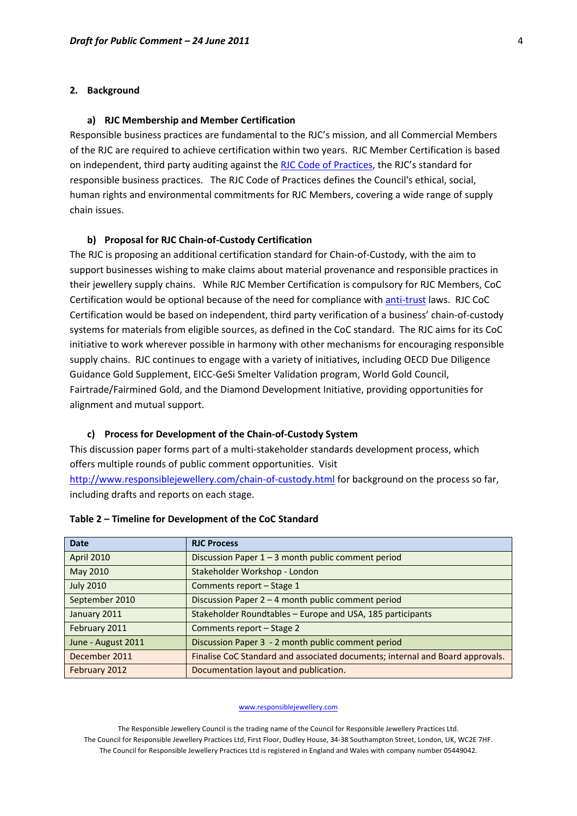#### **2. Background**

#### **a) RJC Membership and Member Certification**

Responsible business practices are fundamental to the RJC's mission, and all Commercial Members of the RJC are required to achieve certification within two years. RJC Member Certification is based on independent, third party auditing against the RJC Code of [Practices,](http://www.responsiblejewellery.com/downloads/boxed_set_2009/S001_2009_RJC_Prin_COP.pdf) the RJC's standard for responsible business practices. The RJC Code of Practices defines the Council's ethical, social, human rights and environmental commitments for RJC Members, covering a wide range of supply chain issues.

#### **b) Proposal for RJC Chain‐of‐Custody Certification**

The RJC is proposing an additional certification standard for Chain‐of‐Custody, with the aim to support businesses wishing to make claims about material provenance and responsible practices in their jewellery supply chains. While RJC Member Certification is compulsory for RJC Members, CoC Certification would be optional because of the need for compliance with anti‐[trust](http://www.responsiblejewellery.com/downloads/RJC_Antitrust_Policy+Rules_Oct_2008.pdf) laws. RJC CoC Certification would be based on independent, third party verification of a business' chain‐of‐custody systems for materials from eligible sources, as defined in the CoC standard. The RJC aims for its CoC initiative to work wherever possible in harmony with other mechanisms for encouraging responsible supply chains. RJC continues to engage with a variety of initiatives, including OECD Due Diligence Guidance Gold Supplement, EICC‐GeSi Smelter Validation program, World Gold Council, Fairtrade/Fairmined Gold, and the Diamond Development Initiative, providing opportunities for alignment and mutual support.

#### **c) Process for Development of the Chain‐of‐Custody System**

This discussion paper forms part of a multi‐stakeholder standards development process, which offers multiple rounds of public comment opportunities. Visit [http://www.responsiblejewellery.com/chain](http://www.responsiblejewellery.com/chain-of-custody.html)-of-custody.html for background on the process so far, including drafts and reports on each stage.

| <b>Date</b>        | <b>RJC Process</b>                                                            |
|--------------------|-------------------------------------------------------------------------------|
| <b>April 2010</b>  | Discussion Paper $1 - 3$ month public comment period                          |
| May 2010           | Stakeholder Workshop - London                                                 |
| <b>July 2010</b>   | Comments report - Stage 1                                                     |
| September 2010     | Discussion Paper $2 - 4$ month public comment period                          |
| January 2011       | Stakeholder Roundtables - Europe and USA, 185 participants                    |
| February 2011      | Comments report - Stage 2                                                     |
| June - August 2011 | Discussion Paper 3 - 2 month public comment period                            |
| December 2011      | Finalise CoC Standard and associated documents; internal and Board approvals. |
| February 2012      | Documentation layout and publication.                                         |

#### **Table 2 – Timeline for Development of the CoC Standard**

#### www.responsiblejewellery.com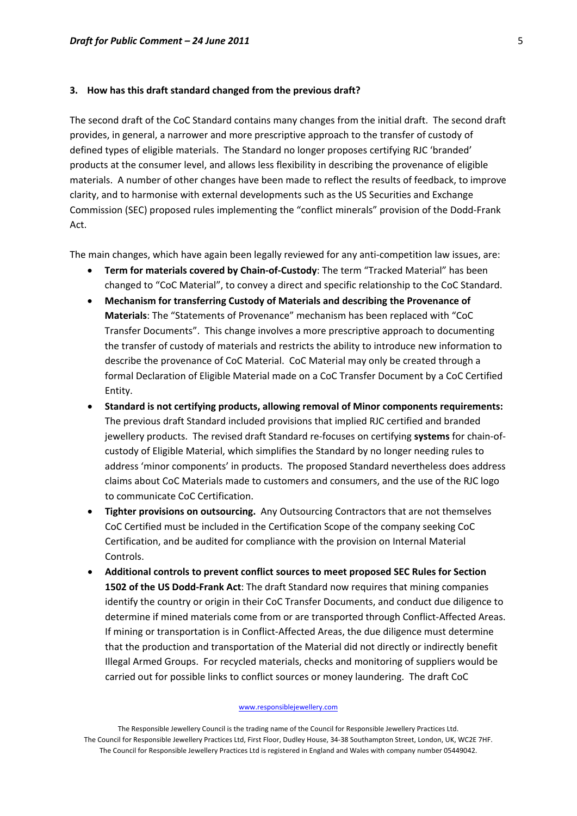#### **3. How has this draft standard changed from the previous draft?**

The second draft of the CoC Standard contains many changes from the initial draft. The second draft provides, in general, a narrower and more prescriptive approach to the transfer of custody of defined types of eligible materials. The Standard no longer proposes certifying RJC 'branded' products at the consumer level, and allows less flexibility in describing the provenance of eligible materials. A number of other changes have been made to reflect the results of feedback, to improve clarity, and to harmonise with external developments such as the US Securities and Exchange Commission (SEC) proposed rules implementing the "conflict minerals" provision of the Dodd‐Frank Act.

The main changes, which have again been legally reviewed for any anti-competition law issues, are:

- **Term for materials covered by Chain‐of‐Custody**: The term "Tracked Material" has been changed to "CoC Material", to convey a direct and specific relationship to the CoC Standard.
- **Mechanism for transferring Custody of Materials and describing the Provenance of Materials**: The "Statements of Provenance" mechanism has been replaced with "CoC Transfer Documents". This change involves a more prescriptive approach to documenting the transfer of custody of materials and restricts the ability to introduce new information to describe the provenance of CoC Material. CoC Material may only be created through a formal Declaration of Eligible Material made on a CoC Transfer Document by a CoC Certified Entity.
- **Standard is not certifying products, allowing removal of Minor components requirements:** The previous draft Standard included provisions that implied RJC certified and branded jewellery products. The revised draft Standard re‐focuses on certifying **systems** for chain‐of‐ custody of Eligible Material, which simplifies the Standard by no longer needing rules to address 'minor components' in products. The proposed Standard nevertheless does address claims about CoC Materials made to customers and consumers, and the use of the RJC logo to communicate CoC Certification.
- **Tighter provisions on outsourcing.** Any Outsourcing Contractors that are not themselves CoC Certified must be included in the Certification Scope of the company seeking CoC Certification, and be audited for compliance with the provision on Internal Material Controls.
- **Additional controls to prevent conflict sources to meet proposed SEC Rules for Section 1502 of the US Dodd‐Frank Act**: The draft Standard now requires that mining companies identify the country or origin in their CoC Transfer Documents, and conduct due diligence to determine if mined materials come from or are transported through Conflict‐Affected Areas. If mining or transportation is in Conflict-Affected Areas, the due diligence must determine that the production and transportation of the Material did not directly or indirectly benefit Illegal Armed Groups. For recycled materials, checks and monitoring of suppliers would be carried out for possible links to conflict sources or money laundering. The draft CoC

#### www.responsiblejewellery.com

The Responsible Jewellery Council is the trading name of the Council for Responsible Jewellery Practices Ltd. The Council for Responsible Jewellery Practices Ltd, First Floor, Dudley House, 34‐38 Southampton Street, London, UK, WC2E 7HF. The Council for Responsible Jewellery Practices Ltd is registered in England and Wales with company number 05449042.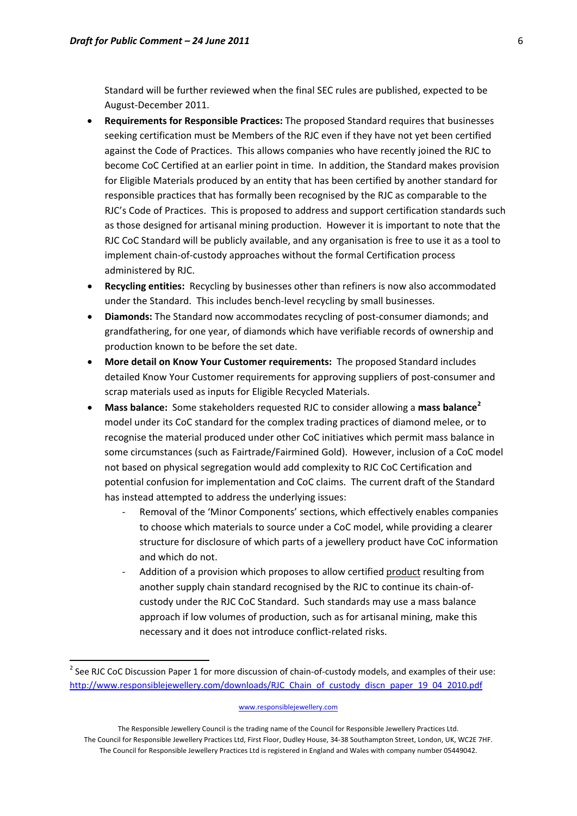Standard will be further reviewed when the final SEC rules are published, expected to be August‐December 2011.

- **Requirements for Responsible Practices:** The proposed Standard requires that businesses seeking certification must be Members of the RJC even if they have not yet been certified against the Code of Practices. This allows companies who have recently joined the RJC to become CoC Certified at an earlier point in time. In addition, the Standard makes provision for Eligible Materials produced by an entity that has been certified by another standard for responsible practices that has formally been recognised by the RJC as comparable to the RJC's Code of Practices. This is proposed to address and support certification standards such as those designed for artisanal mining production. However it is important to note that the RJC CoC Standard will be publicly available, and any organisation is free to use it as a tool to implement chain‐of‐custody approaches without the formal Certification process administered by RJC.
- **Recycling entities:** Recycling by businesses other than refiners is now also accommodated under the Standard. This includes bench‐level recycling by small businesses.
- **Diamonds:** The Standard now accommodates recycling of post‐consumer diamonds; and grandfathering, for one year, of diamonds which have verifiable records of ownership and production known to be before the set date.
- **More detail on Know Your Customer requirements:** The proposed Standard includes detailed Know Your Customer requirements for approving suppliers of post‐consumer and scrap materials used as inputs for Eligible Recycled Materials.
- **Mass balance:** Some stakeholders requested RJC to consider allowing a **mass balance[2](#page-5-0)** model under its CoC standard for the complex trading practices of diamond melee, or to recognise the material produced under other CoC initiatives which permit mass balance in some circumstances (such as Fairtrade/Fairmined Gold). However, inclusion of a CoC model not based on physical segregation would add complexity to RJC CoC Certification and potential confusion for implementation and CoC claims. The current draft of the Standard has instead attempted to address the underlying issues:
	- ‐ Removal of the 'Minor Components' sections, which effectively enables companies to choose which materials to source under a CoC model, while providing a clearer structure for disclosure of which parts of a jewellery product have CoC information and which do not.
	- ‐ Addition of a provision which proposes to allow certified product resulting from another supply chain standard recognised by the RJC to continue its chain‐of‐ custody under the RJC CoC Standard. Such standards may use a mass balance approach if low volumes of production, such as for artisanal mining, make this necessary and it does not introduce conflict‐related risks.

#### www.responsiblejewellery.com

<span id="page-5-0"></span><sup>&</sup>lt;sup>2</sup> See RJC CoC Discussion Paper 1 for more discussion of chain-of-custody models, and examples of their use: [http://www.responsiblejewellery.com/downloads/RJC\\_Chain\\_of\\_custody\\_discn\\_paper\\_19\\_04\\_2010.pdf](http://www.responsiblejewellery.com/downloads/RJC_Chain_of_custody_discn_paper_19_04_2010.pdf)

The Responsible Jewellery Council is the trading name of the Council for Responsible Jewellery Practices Ltd. The Council for Responsible Jewellery Practices Ltd, First Floor, Dudley House, 34‐38 Southampton Street, London, UK, WC2E 7HF. The Council for Responsible Jewellery Practices Ltd is registered in England and Wales with company number 05449042.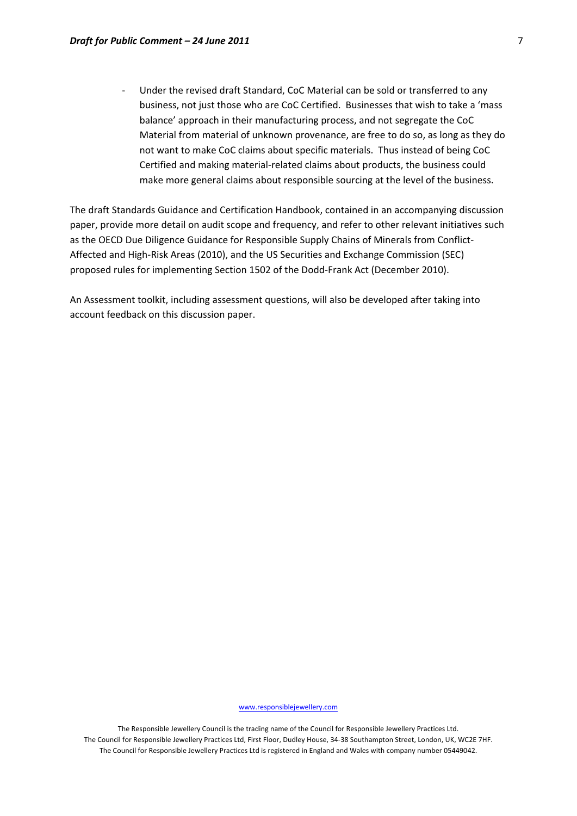Under the revised draft Standard, CoC Material can be sold or transferred to any business, not just those who are CoC Certified. Businesses that wish to take a 'mass balance' approach in their manufacturing process, and not segregate the CoC Material from material of unknown provenance, are free to do so, as long as they do not want to make CoC claims about specific materials. Thus instead of being CoC Certified and making material‐related claims about products, the business could make more general claims about responsible sourcing at the level of the business.

The draft Standards Guidance and Certification Handbook, contained in an accompanying discussion paper, provide more detail on audit scope and frequency, and refer to other relevant initiatives such as the OECD Due Diligence Guidance for Responsible Supply Chains of Minerals from Conflict-Affected and High‐Risk Areas (2010), and the US Securities and Exchange Commission (SEC) proposed rules for implementing Section 1502 of the Dodd‐Frank Act (December 2010).

An Assessment toolkit, including assessment questions, will also be developed after taking into account feedback on this discussion paper.

www.responsiblejewellery.com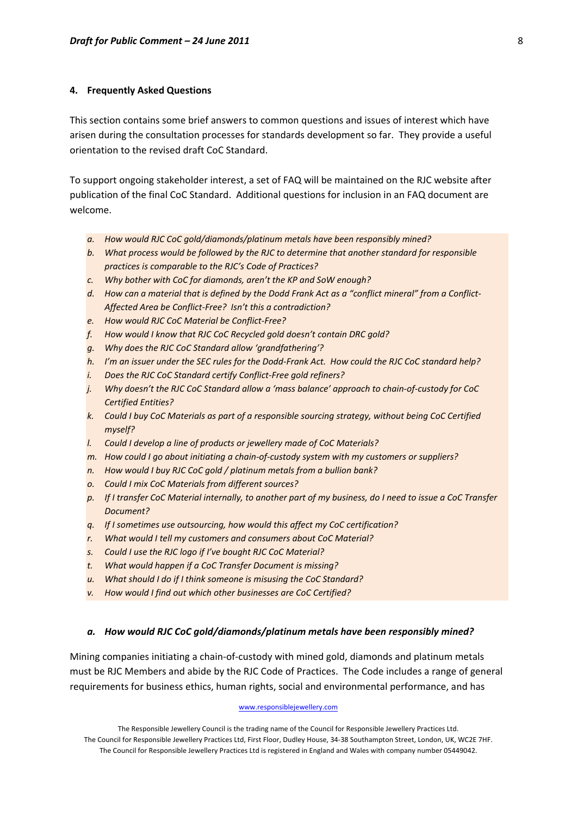#### **4. Frequently Asked Questions**

This section contains some brief answers to common questions and issues of interest which have arisen during the consultation processes for standards development so far. They provide a useful orientation to the revised draft CoC Standard.

To support ongoing stakeholder interest, a set of FAQ will be maintained on the RJC website after publication of the final CoC Standard. Additional questions for inclusion in an FAQ document are welcome.

- *a. How would RJC CoC gold/diamonds/platinum metals have been responsibly mined?*
- *b. What process would be followed by the RJC to determine that another standard for responsible practices is comparable to the RJC's Code of Practices?*
- *c. Why bother with CoC for diamonds, aren't the KP and SoW enough?*
- d. How can a material that is defined by the Dodd Frank Act as a "conflict mineral" from a Conflict-*Affected Area be Conflict‐Free? Isn't this a contradiction?*
- *e. How would RJC CoC Material be Conflict‐Free?*
- *f. How would I know that RJC CoC Recycled gold doesn't contain DRC gold?*
- *g. Why does the RJC CoC Standard allow 'grandfathering'?*
- h. I'm an issuer under the SEC rules for the Dodd-Frank Act. How could the RJC CoC standard help?
- *i. Does the RJC CoC Standard certify Conflict‐Free gold refiners?*
- j. Why doesn't the RJC CoC Standard allow a 'mass balance' approach to chain-of-custody for CoC *Certified Entities?*
- *k. Could I buy CoC Materials as part of a responsible sourcing strategy, without being CoC Certified myself?*
- *l. Could I develop a line of products or jewellery made of CoC Materials?*
- m. How could I go about initiating a chain-of-custody system with my customers or suppliers?
- *n. How would I buy RJC CoC gold / platinum metals from a bullion bank?*
- *o. Could I mix CoC Materials from different sources?*
- p. If I transfer CoC Material internally, to another part of my business, do I need to issue a CoC Transfer *Document?*
- *q. If I sometimes use outsourcing, how would this affect my CoC certification?*
- *r. What would I tell my customers and consumers about CoC Material?*
- *s. Could I use the RJC logo if I've bought RJC CoC Material?*
- *t. What would happen if a CoC Transfer Document is missing?*
- *u. What should I do if I think someone is misusing the CoC Standard?*
- *v. How would I find out which other businesses are CoC Certified?*

#### *a. How would RJC CoC gold/diamonds/platinum metals have been responsibly mined?*

Mining companies initiating a chain‐of‐custody with mined gold, diamonds and platinum metals must be RJC Members and abide by the RJC Code of Practices. The Code includes a range of general requirements for business ethics, human rights, social and environmental performance, and has

#### www.responsiblejewellery.com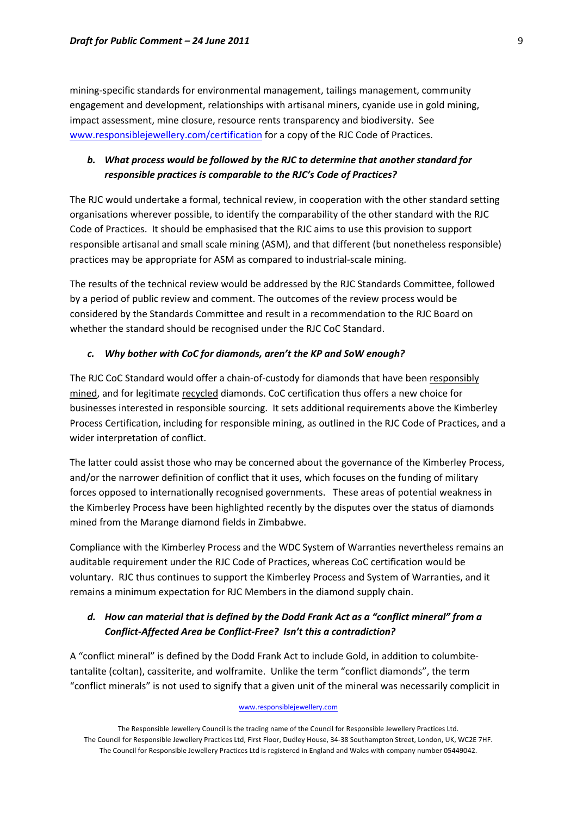mining‐specific standards for environmental management, tailings management, community engagement and development, relationships with artisanal miners, cyanide use in gold mining, impact assessment, mine closure, resource rents transparency and biodiversity. See [www.responsiblejewellery.com/certification](http://www.responsiblejewellery.com/certification) for a copy of the RJC Code of Practices.

# *b. What process would be followed by the RJC to determine that another standard for responsible practices is comparable to the RJC's Code of Practices?*

The RJC would undertake a formal, technical review, in cooperation with the other standard setting organisations wherever possible, to identify the comparability of the other standard with the RJC Code of Practices. It should be emphasised that the RJC aims to use this provision to support responsible artisanal and small scale mining (ASM), and that different (but nonetheless responsible) practices may be appropriate for ASM as compared to industrial‐scale mining.

The results of the technical review would be addressed by the RJC Standards Committee, followed by a period of public review and comment. The outcomes of the review process would be considered by the Standards Committee and result in a recommendation to the RJC Board on whether the standard should be recognised under the RJC CoC Standard.

## *c. Why bother with CoC for diamonds, aren't the KP and SoW enough?*

The RJC CoC Standard would offer a chain-of-custody for diamonds that have been responsibly mined, and for legitimate recycled diamonds. CoC certification thus offers a new choice for businesses interested in responsible sourcing. It sets additional requirements above the Kimberley Process Certification, including for responsible mining, as outlined in the RJC Code of Practices, and a wider interpretation of conflict.

The latter could assist those who may be concerned about the governance of the Kimberley Process, and/or the narrower definition of conflict that it uses, which focuses on the funding of military forces opposed to internationally recognised governments. These areas of potential weakness in the Kimberley Process have been highlighted recently by the disputes over the status of diamonds mined from the Marange diamond fields in Zimbabwe.

Compliance with the Kimberley Process and the WDC System of Warranties nevertheless remains an auditable requirement under the RJC Code of Practices, whereas CoC certification would be voluntary. RJC thus continues to support the Kimberley Process and System of Warranties, and it remains a minimum expectation for RJC Members in the diamond supply chain.

# *d. How can material that is defined by the Dodd Frank Act as a "conflict mineral" from a Conflict‐Affected Area be Conflict‐Free? Isn't this a contradiction?*

A "conflict mineral" is defined by the Dodd Frank Act to include Gold, in addition to columbite‐ tantalite (coltan), cassiterite, and wolframite. Unlike the term "conflict diamonds", the term "conflict minerals" is not used to signify that a given unit of the mineral was necessarily complicit in

#### www.responsiblejewellery.com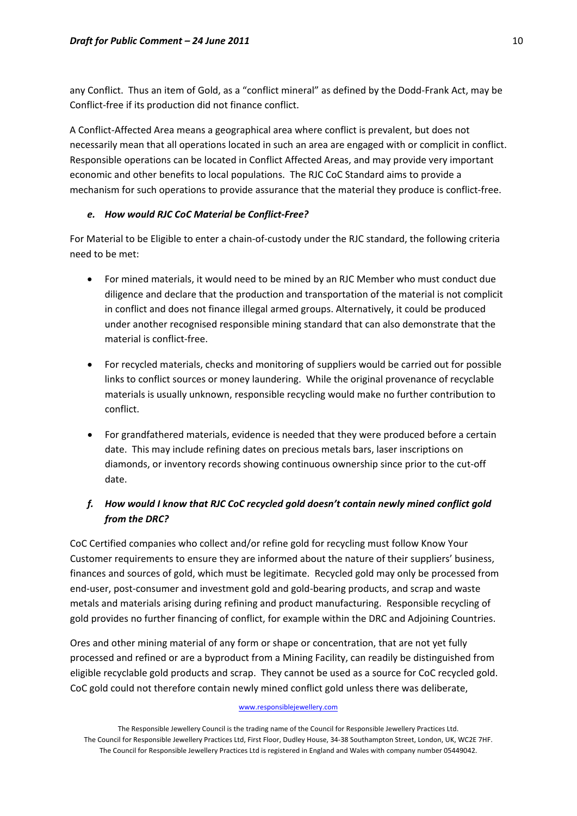any Conflict. Thus an item of Gold, as a "conflict mineral" as defined by the Dodd‐Frank Act, may be Conflict‐free if its production did not finance conflict.

A Conflict‐Affected Area means a geographical area where conflict is prevalent, but does not necessarily mean that all operations located in such an area are engaged with or complicit in conflict. Responsible operations can be located in Conflict Affected Areas, and may provide very important economic and other benefits to local populations. The RJC CoC Standard aims to provide a mechanism for such operations to provide assurance that the material they produce is conflict-free.

# *e. How would RJC CoC Material be Conflict‐Free?*

For Material to be Eligible to enter a chain‐of‐custody under the RJC standard, the following criteria need to be met:

- For mined materials, it would need to be mined by an RJC Member who must conduct due diligence and declare that the production and transportation of the material is not complicit in conflict and does not finance illegal armed groups. Alternatively, it could be produced under another recognised responsible mining standard that can also demonstrate that the material is conflict‐free.
- For recycled materials, checks and monitoring of suppliers would be carried out for possible links to conflict sources or money laundering. While the original provenance of recyclable materials is usually unknown, responsible recycling would make no further contribution to conflict.
- For grandfathered materials, evidence is needed that they were produced before a certain date. This may include refining dates on precious metals bars, laser inscriptions on diamonds, or inventory records showing continuous ownership since prior to the cut‐off date.

# *f. How would I know that RJC CoC recycled gold doesn't contain newly mined conflict gold from the DRC?*

CoC Certified companies who collect and/or refine gold for recycling must follow Know Your Customer requirements to ensure they are informed about the nature of their suppliers' business, finances and sources of gold, which must be legitimate. Recycled gold may only be processed from end‐user, post‐consumer and investment gold and gold‐bearing products, and scrap and waste metals and materials arising during refining and product manufacturing. Responsible recycling of gold provides no further financing of conflict, for example within the DRC and Adjoining Countries.

Ores and other mining material of any form or shape or concentration, that are not yet fully processed and refined or are a byproduct from a Mining Facility, can readily be distinguished from eligible recyclable gold products and scrap. They cannot be used as a source for CoC recycled gold. CoC gold could not therefore contain newly mined conflict gold unless there was deliberate,

#### www.responsiblejewellery.com

The Responsible Jewellery Council is the trading name of the Council for Responsible Jewellery Practices Ltd. The Council for Responsible Jewellery Practices Ltd, First Floor, Dudley House, 34‐38 Southampton Street, London, UK, WC2E 7HF. The Council for Responsible Jewellery Practices Ltd is registered in England and Wales with company number 05449042.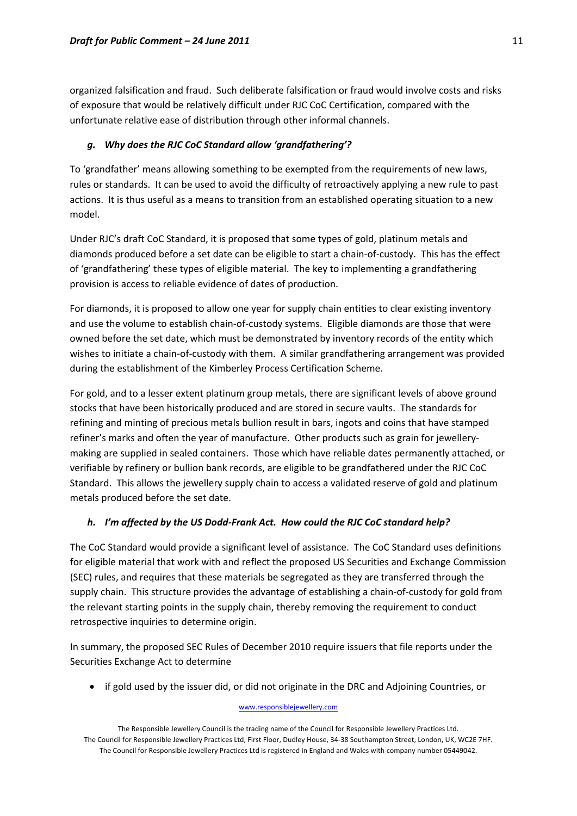organized falsification and fraud. Such deliberate falsification or fraud would involve costs and risks of exposure that would be relatively difficult under RJC CoC Certification, compared with the unfortunate relative ease of distribution through other informal channels.

# *g. Why does the RJC CoC Standard allow 'grandfathering'?*

To 'grandfather' means allowing something to be exempted from the requirements of new laws, rules or standards. It can be used to avoid the difficulty of retroactively applying a new rule to past actions. It is thus useful as a means to transition from an established operating situation to a new model.

Under RJC's draft CoC Standard, it is proposed that some types of gold, platinum metals and diamonds produced before a set date can be eligible to start a chain‐of‐custody. This has the effect of 'grandfathering' these types of eligible material. The key to implementing a grandfathering provision is access to reliable evidence of dates of production.

For diamonds, it is proposed to allow one year for supply chain entities to clear existing inventory and use the volume to establish chain-of-custody systems. Eligible diamonds are those that were owned before the set date, which must be demonstrated by inventory records of the entity which wishes to initiate a chain-of-custody with them. A similar grandfathering arrangement was provided during the establishment of the Kimberley Process Certification Scheme.

For gold, and to a lesser extent platinum group metals, there are significant levels of above ground stocks that have been historically produced and are stored in secure vaults. The standards for refining and minting of precious metals bullion result in bars, ingots and coins that have stamped refiner's marks and often the year of manufacture. Other products such as grain for jewellery‐ making are supplied in sealed containers. Those which have reliable dates permanently attached, or verifiable by refinery or bullion bank records, are eligible to be grandfathered under the RJC CoC Standard. This allows the jewellery supply chain to access a validated reserve of gold and platinum metals produced before the set date.

# *h. I'm affected by the US Dodd‐Frank Act. How could the RJC CoC standard help?*

The CoC Standard would provide a significant level of assistance. The CoC Standard uses definitions for eligible material that work with and reflect the proposed US Securities and Exchange Commission (SEC) rules, and requires that these materials be segregated as they are transferred through the supply chain. This structure provides the advantage of establishing a chain-of-custody for gold from the relevant starting points in the supply chain, thereby removing the requirement to conduct retrospective inquiries to determine origin.

In summary, the proposed SEC Rules of December 2010 require issuers that file reports under the Securities Exchange Act to determine

• if gold used by the issuer did, or did not originate in the DRC and Adjoining Countries, or

#### www.responsiblejewellery.com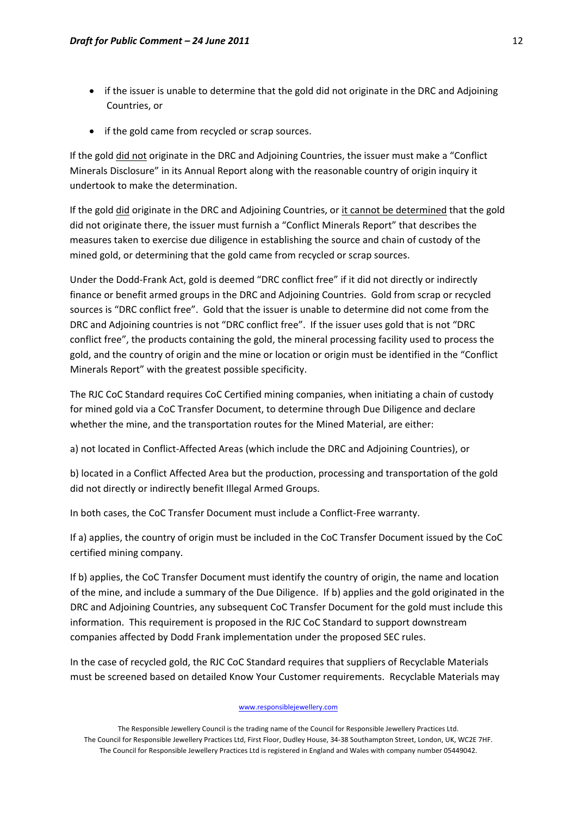- if the issuer is unable to determine that the gold did not originate in the DRC and Adjoining Countries, or
- if the gold came from recycled or scrap sources.

If the gold did not originate in the DRC and Adjoining Countries, the issuer must make a "Conflict Minerals Disclosure" in its Annual Report along with the reasonable country of origin inquiry it undertook to make the determination.

If the gold did originate in the DRC and Adjoining Countries, or it cannot be determined that the gold did not originate there, the issuer must furnish a "Conflict Minerals Report" that describes the measures taken to exercise due diligence in establishing the source and chain of custody of the mined gold, or determining that the gold came from recycled or scrap sources.

Under the Dodd‐Frank Act, gold is deemed "DRC conflict free" if it did not directly or indirectly finance or benefit armed groups in the DRC and Adjoining Countries. Gold from scrap or recycled sources is "DRC conflict free". Gold that the issuer is unable to determine did not come from the DRC and Adjoining countries is not "DRC conflict free". If the issuer uses gold that is not "DRC conflict free", the products containing the gold, the mineral processing facility used to process the gold, and the country of origin and the mine or location or origin must be identified in the "Conflict Minerals Report" with the greatest possible specificity.

The RJC CoC Standard requires CoC Certified mining companies, when initiating a chain of custody for mined gold via a CoC Transfer Document, to determine through Due Diligence and declare whether the mine, and the transportation routes for the Mined Material, are either:

a) not located in Conflict‐Affected Areas (which include the DRC and Adjoining Countries), or

b) located in a Conflict Affected Area but the production, processing and transportation of the gold did not directly or indirectly benefit Illegal Armed Groups.

In both cases, the CoC Transfer Document must include a Conflict‐Free warranty.

If a) applies, the country of origin must be included in the CoC Transfer Document issued by the CoC certified mining company.

If b) applies, the CoC Transfer Document must identify the country of origin, the name and location of the mine, and include a summary of the Due Diligence. If b) applies and the gold originated in the DRC and Adjoining Countries, any subsequent CoC Transfer Document for the gold must include this information. This requirement is proposed in the RJC CoC Standard to support downstream companies affected by Dodd Frank implementation under the proposed SEC rules.

In the case of recycled gold, the RJC CoC Standard requires that suppliers of Recyclable Materials must be screened based on detailed Know Your Customer requirements. Recyclable Materials may

#### www.responsiblejewellery.com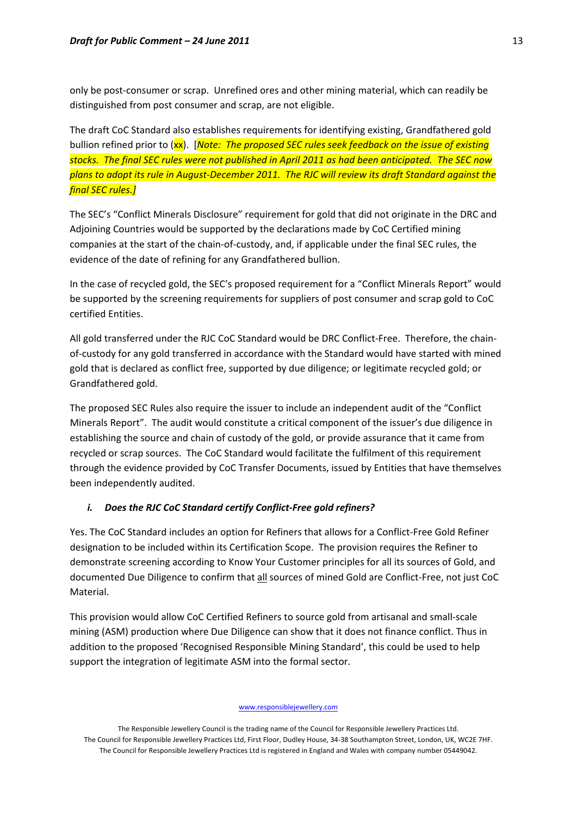only be post-consumer or scrap. Unrefined ores and other mining material, which can readily be distinguished from post consumer and scrap, are not eligible.

The draft CoC Standard also establishes requirements for identifying existing, Grandfathered gold bullion refined prior to (xx). [*Note: The proposed SEC rules seek feedback on the issue of existing* stocks. The final SEC rules were not published in April 2011 as had been anticipated. The SEC now plans to adopt its rule in August-December 2011. The RJC will review its draft Standard against the *final SEC rules.]*

The SEC's "Conflict Minerals Disclosure" requirement for gold that did not originate in the DRC and Adjoining Countries would be supported by the declarations made by CoC Certified mining companies at the start of the chain‐of‐custody, and, if applicable under the final SEC rules, the evidence of the date of refining for any Grandfathered bullion.

In the case of recycled gold, the SEC's proposed requirement for a "Conflict Minerals Report" would be supported by the screening requirements for suppliers of post consumer and scrap gold to CoC certified Entities.

All gold transferred under the RJC CoC Standard would be DRC Conflict-Free. Therefore, the chainof-custody for any gold transferred in accordance with the Standard would have started with mined gold that is declared as conflict free, supported by due diligence; or legitimate recycled gold; or Grandfathered gold.

The proposed SEC Rules also require the issuer to include an independent audit of the "Conflict Minerals Report". The audit would constitute a critical component of the issuer's due diligence in establishing the source and chain of custody of the gold, or provide assurance that it came from recycled or scrap sources. The CoC Standard would facilitate the fulfilment of this requirement through the evidence provided by CoC Transfer Documents, issued by Entities that have themselves been independently audited.

# *i. Does the RJC CoC Standard certify Conflict‐Free gold refiners?*

Yes. The CoC Standard includes an option for Refiners that allows for a Conflict‐Free Gold Refiner designation to be included within its Certification Scope. The provision requires the Refiner to demonstrate screening according to Know Your Customer principles for all its sources of Gold, and documented Due Diligence to confirm that all sources of mined Gold are Conflict-Free, not just CoC Material.

This provision would allow CoC Certified Refiners to source gold from artisanal and small‐scale mining (ASM) production where Due Diligence can show that it does not finance conflict. Thus in addition to the proposed 'Recognised Responsible Mining Standard', this could be used to help support the integration of legitimate ASM into the formal sector.

#### www.responsiblejewellery.com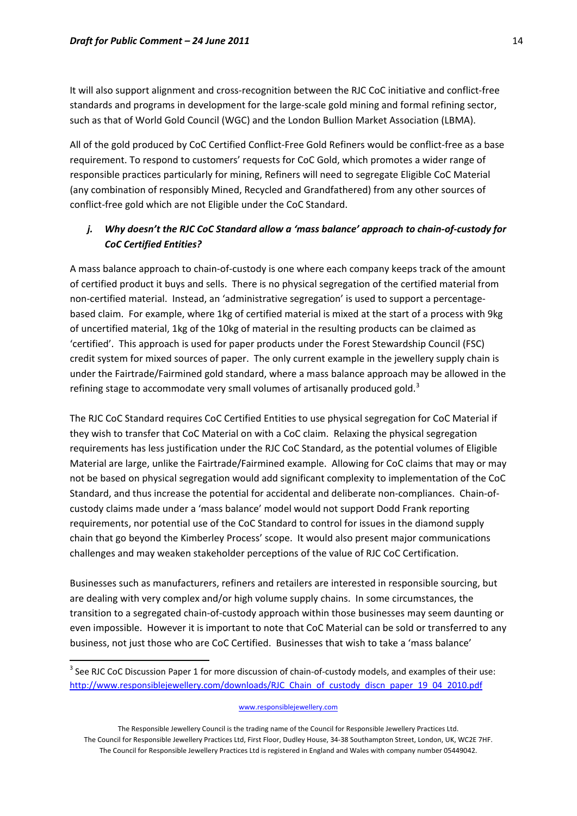It will also support alignment and cross-recognition between the RJC CoC initiative and conflict-free standards and programs in development for the large‐scale gold mining and formal refining sector, such as that of World Gold Council (WGC) and the London Bullion Market Association (LBMA).

All of the gold produced by CoC Certified Conflict‐Free Gold Refiners would be conflict‐free as a base requirement. To respond to customers' requests for CoC Gold, which promotes a wider range of responsible practices particularly for mining, Refiners will need to segregate Eligible CoC Material (any combination of responsibly Mined, Recycled and Grandfathered) from any other sources of conflict‐free gold which are not Eligible under the CoC Standard.

# *j. Why doesn't the RJC CoC Standard allow a 'mass balance' approach to chain‐of‐custody for CoC Certified Entities?*

A mass balance approach to chain‐of‐custody is one where each company keeps track of the amount of certified product it buys and sells. There is no physical segregation of the certified material from non-certified material. Instead, an 'administrative segregation' is used to support a percentagebased claim. For example, where 1kg of certified material is mixed at the start of a process with 9kg of uncertified material, 1kg of the 10kg of material in the resulting products can be claimed as 'certified'. This approach is used for paper products under the Forest Stewardship Council (FSC) credit system for mixed sources of paper. The only current example in the jewellery supply chain is under the Fairtrade/Fairmined gold standard, where a mass balance approach may be allowed in the refining stage to accommodate very small volumes of artisanally produced gold.<sup>[3](#page-13-0)</sup>

The RJC CoC Standard requires CoC Certified Entities to use physical segregation for CoC Material if they wish to transfer that CoC Material on with a CoC claim. Relaxing the physical segregation requirements has less justification under the RJC CoC Standard, as the potential volumes of Eligible Material are large, unlike the Fairtrade/Fairmined example. Allowing for CoC claims that may or may not be based on physical segregation would add significant complexity to implementation of the CoC Standard, and thus increase the potential for accidental and deliberate non‐compliances. Chain‐of‐ custody claims made under a 'mass balance' model would not support Dodd Frank reporting requirements, nor potential use of the CoC Standard to control for issues in the diamond supply chain that go beyond the Kimberley Process' scope. It would also present major communications challenges and may weaken stakeholder perceptions of the value of RJC CoC Certification.

Businesses such as manufacturers, refiners and retailers are interested in responsible sourcing, but are dealing with very complex and/or high volume supply chains. In some circumstances, the transition to a segregated chain‐of‐custody approach within those businesses may seem daunting or even impossible. However it is important to note that CoC Material can be sold or transferred to any business, not just those who are CoC Certified. Businesses that wish to take a 'mass balance'

#### www.responsiblejewellery.com

<span id="page-13-0"></span><sup>&</sup>lt;sup>3</sup> See RJC CoC Discussion Paper 1 for more discussion of chain-of-custody models, and examples of their use: [http://www.responsiblejewellery.com/downloads/RJC\\_Chain\\_of\\_custody\\_discn\\_paper\\_19\\_04\\_2010.pdf](http://www.responsiblejewellery.com/downloads/RJC_Chain_of_custody_discn_paper_19_04_2010.pdf)

The Responsible Jewellery Council is the trading name of the Council for Responsible Jewellery Practices Ltd. The Council for Responsible Jewellery Practices Ltd, First Floor, Dudley House, 34‐38 Southampton Street, London, UK, WC2E 7HF. The Council for Responsible Jewellery Practices Ltd is registered in England and Wales with company number 05449042.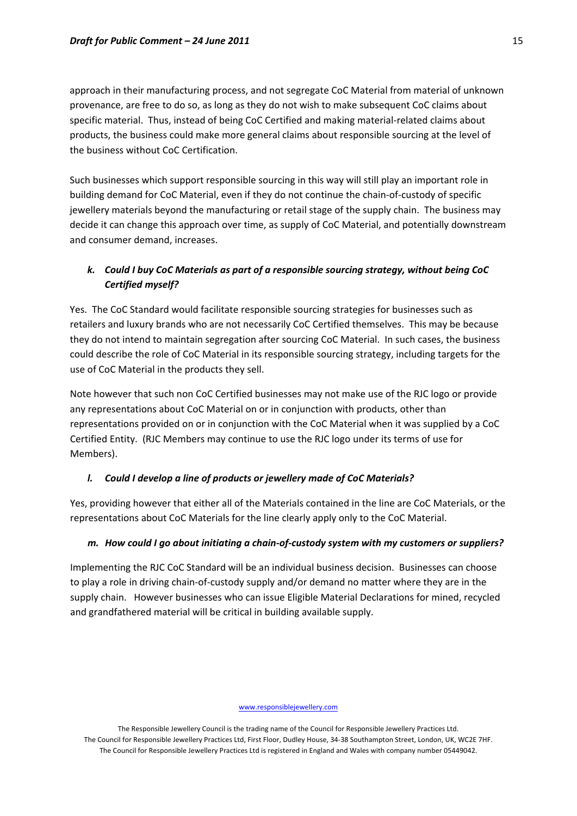approach in their manufacturing process, and not segregate CoC Material from material of unknown provenance, are free to do so, as long as they do not wish to make subsequent CoC claims about specific material. Thus, instead of being CoC Certified and making material‐related claims about products, the business could make more general claims about responsible sourcing at the level of the business without CoC Certification.

Such businesses which support responsible sourcing in this way will still play an important role in building demand for CoC Material, even if they do not continue the chain‐of‐custody of specific jewellery materials beyond the manufacturing or retail stage of the supply chain. The business may decide it can change this approach over time, as supply of CoC Material, and potentially downstream and consumer demand, increases.

# *k. Could I buy CoC Materials as part of a responsible sourcing strategy, without being CoC Certified myself?*

Yes. The CoC Standard would facilitate responsible sourcing strategies for businesses such as retailers and luxury brands who are not necessarily CoC Certified themselves. This may be because they do not intend to maintain segregation after sourcing CoC Material. In such cases, the business could describe the role of CoC Material in its responsible sourcing strategy, including targets for the use of CoC Material in the products they sell.

Note however that such non CoC Certified businesses may not make use of the RJC logo or provide any representations about CoC Material on or in conjunction with products, other than representations provided on or in conjunction with the CoC Material when it was supplied by a CoC Certified Entity. (RJC Members may continue to use the RJC logo under its terms of use for Members).

# *l. Could I develop a line of products or jewellery made of CoC Materials?*

Yes, providing however that either all of the Materials contained in the line are CoC Materials, or the representations about CoC Materials for the line clearly apply only to the CoC Material. 

# m. How could I go about initiating a chain-of-custody system with my customers or suppliers?

Implementing the RJC CoC Standard will be an individual business decision. Businesses can choose to play a role in driving chain‐of‐custody supply and/or demand no matter where they are in the supply chain. However businesses who can issue Eligible Material Declarations for mined, recycled and grandfathered material will be critical in building available supply.

www.responsiblejewellery.com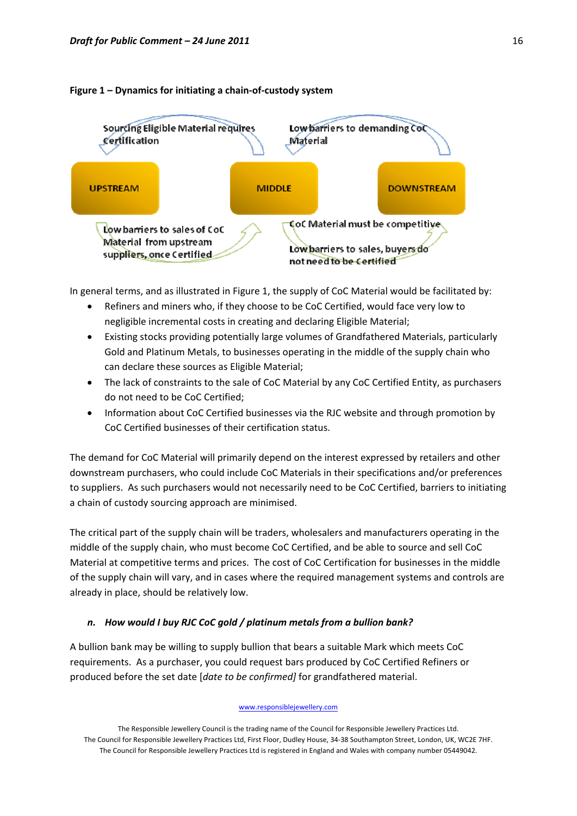

## **Figure 1 – Dynamics for initiating a chain‐of‐custody system**

In general terms, and as illustrated in Figure 1, the supply of CoC Material would be facilitated by:

- Refiners and miners who, if they choose to be CoC Certified, would face very low to negligible incremental costs in creating and declaring Eligible Material;
- Existing stocks providing potentially large volumes of Grandfathered Materials, particularly Gold and Platinum Metals, to businesses operating in the middle of the supply chain who can declare these sources as Eligible Material;
- The lack of constraints to the sale of CoC Material by any CoC Certified Entity, as purchasers do not need to be CoC Certified;
- Information about CoC Certified businesses via the RJC website and through promotion by CoC Certified businesses of their certification status.

The demand for CoC Material will primarily depend on the interest expressed by retailers and other downstream purchasers, who could include CoC Materials in their specifications and/or preferences to suppliers. As such purchasers would not necessarily need to be CoC Certified, barriers to initiating a chain of custody sourcing approach are minimised.

The critical part of the supply chain will be traders, wholesalers and manufacturers operating in the middle of the supply chain, who must become CoC Certified, and be able to source and sell CoC Material at competitive terms and prices. The cost of CoC Certification for businesses in the middle of the supply chain will vary, and in cases where the required management systems and controls are already in place, should be relatively low.

# *n. How would I buy RJC CoC gold / platinum metals from a bullion bank?*

A bullion bank may be willing to supply bullion that bears a suitable Mark which meets CoC requirements. As a purchaser, you could request bars produced by CoC Certified Refiners or produced before the set date [*date to be confirmed]* for grandfathered material.

#### www.responsiblejewellery.com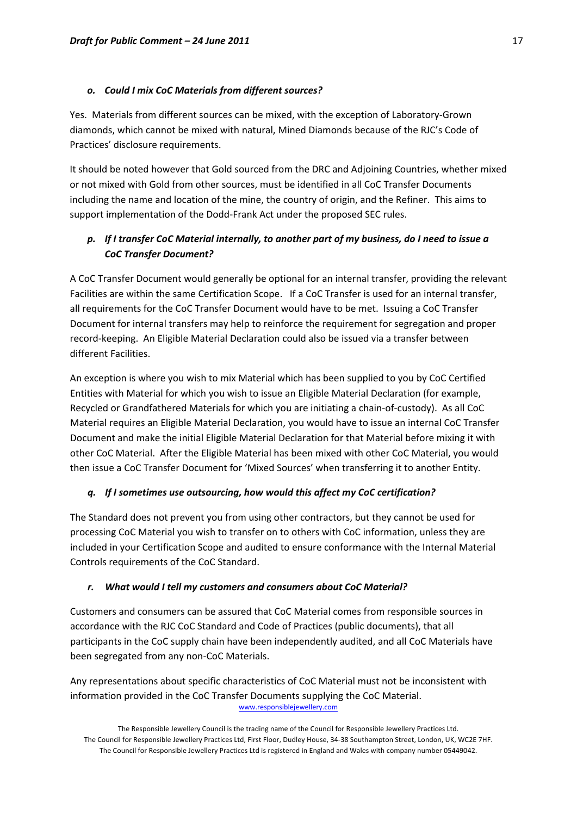## *o. Could I mix CoC Materials from different sources?*

Yes. Materials from different sources can be mixed, with the exception of Laboratory‐Grown diamonds, which cannot be mixed with natural, Mined Diamonds because of the RJC's Code of Practices' disclosure requirements.

It should be noted however that Gold sourced from the DRC and Adjoining Countries, whether mixed or not mixed with Gold from other sources, must be identified in all CoC Transfer Documents including the name and location of the mine, the country of origin, and the Refiner. This aims to support implementation of the Dodd‐Frank Act under the proposed SEC rules.

# p. If I transfer CoC Material internally, to another part of my business, do I need to issue a *CoC Transfer Document?*

A CoC Transfer Document would generally be optional for an internal transfer, providing the relevant Facilities are within the same Certification Scope. If a CoC Transfer is used for an internal transfer, all requirements for the CoC Transfer Document would have to be met. Issuing a CoC Transfer Document for internal transfers may help to reinforce the requirement for segregation and proper record-keeping. An Eligible Material Declaration could also be issued via a transfer between different Facilities.

An exception is where you wish to mix Material which has been supplied to you by CoC Certified Entities with Material for which you wish to issue an Eligible Material Declaration (for example, Recycled or Grandfathered Materials for which you are initiating a chain‐of‐custody). As all CoC Material requires an Eligible Material Declaration, you would have to issue an internal CoC Transfer Document and make the initial Eligible Material Declaration for that Material before mixing it with other CoC Material. After the Eligible Material has been mixed with other CoC Material, you would then issue a CoC Transfer Document for 'Mixed Sources' when transferring it to another Entity.

# *q. If I sometimes use outsourcing, how would this affect my CoC certification?*

The Standard does not prevent you from using other contractors, but they cannot be used for processing CoC Material you wish to transfer on to others with CoC information, unless they are included in your Certification Scope and audited to ensure conformance with the Internal Material Controls requirements of the CoC Standard.

#### *r. What would I tell my customers and consumers about CoC Material?*

Customers and consumers can be assured that CoC Material comes from responsible sources in accordance with the RJC CoC Standard and Code of Practices (public documents), that all participants in the CoC supply chain have been independently audited, and all CoC Materials have been segregated from any non‐CoC Materials.

www.responsiblejewellery.com Any representations about specific characteristics of CoC Material must not be inconsistent with information provided in the CoC Transfer Documents supplying the CoC Material.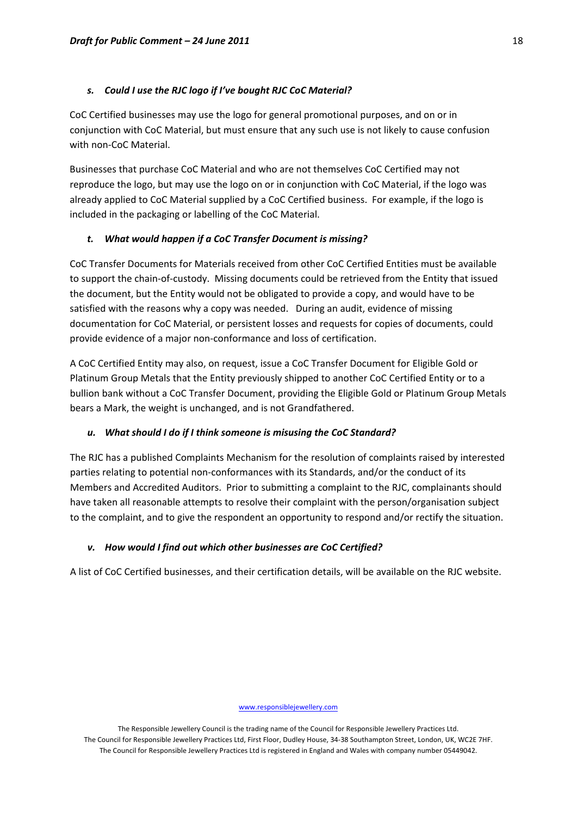## *s. Could I use the RJC logo if I've bought RJC CoC Material?*

CoC Certified businesses may use the logo for general promotional purposes, and on or in conjunction with CoC Material, but must ensure that any such use is not likely to cause confusion with non-CoC Material.

Businesses that purchase CoC Material and who are not themselves CoC Certified may not reproduce the logo, but may use the logo on or in conjunction with CoC Material, if the logo was already applied to CoC Material supplied by a CoC Certified business. For example, if the logo is included in the packaging or labelling of the CoC Material.

## *t. What would happen if a CoC Transfer Document is missing?*

CoC Transfer Documents for Materials received from other CoC Certified Entities must be available to support the chain-of-custody. Missing documents could be retrieved from the Entity that issued the document, but the Entity would not be obligated to provide a copy, and would have to be satisfied with the reasons why a copy was needed. During an audit, evidence of missing documentation for CoC Material, or persistent losses and requests for copies of documents, could provide evidence of a major non‐conformance and loss of certification.

A CoC Certified Entity may also, on request, issue a CoC Transfer Document for Eligible Gold or Platinum Group Metals that the Entity previously shipped to another CoC Certified Entity or to a bullion bank without a CoC Transfer Document, providing the Eligible Gold or Platinum Group Metals bears a Mark, the weight is unchanged, and is not Grandfathered.

# *u. What should I do if I think someone is misusing the CoC Standard?*

The RJC has a published Complaints Mechanism for the resolution of complaints raised by interested parties relating to potential non-conformances with its Standards, and/or the conduct of its Members and Accredited Auditors. Prior to submitting a complaint to the RJC, complainants should have taken all reasonable attempts to resolve their complaint with the person/organisation subject to the complaint, and to give the respondent an opportunity to respond and/or rectify the situation.

#### *v. How would I find out which other businesses are CoC Certified?*

A list of CoC Certified businesses, and their certification details, will be available on the RJC website.

www.responsiblejewellery.com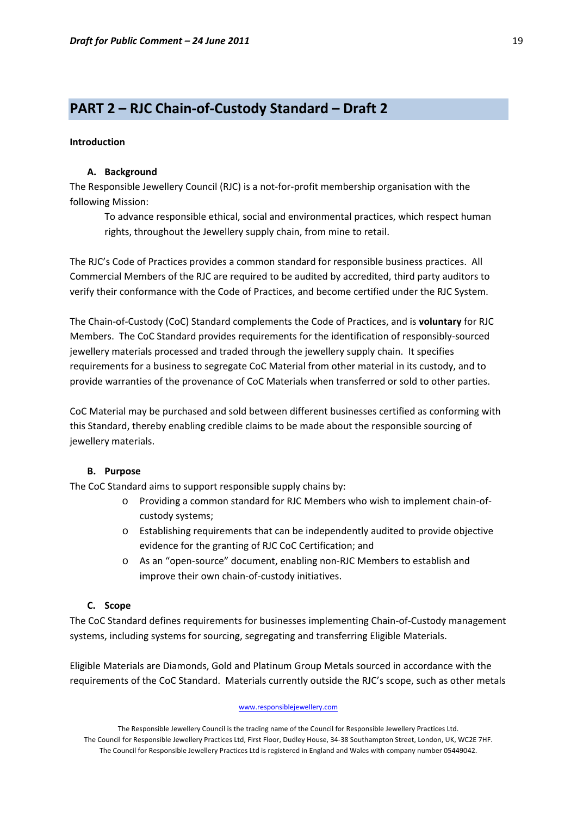# **PART 2 – RJC Chain‐of‐Custody Standard – Draft 2**

## **Introduction**

## **A. Background**

The Responsible Jewellery Council (RJC) is a not‐for‐profit membership organisation with the following Mission:

To advance responsible ethical, social and environmental practices, which respect human rights, throughout the Jewellery supply chain, from mine to retail.

The RJC's Code of Practices provides a common standard for responsible business practices. All Commercial Members of the RJC are required to be audited by accredited, third party auditors to verify their conformance with the Code of Practices, and become certified under the RJC System.

The Chain‐of‐Custody (CoC) Standard complements the Code of Practices, and is **voluntary** for RJC Members. The CoC Standard provides requirements for the identification of responsibly‐sourced jewellery materials processed and traded through the jewellery supply chain. It specifies requirements for a business to segregate CoC Material from other material in its custody, and to provide warranties of the provenance of CoC Materials when transferred or sold to other parties.

CoC Material may be purchased and sold between different businesses certified as conforming with this Standard, thereby enabling credible claims to be made about the responsible sourcing of jewellery materials.

#### **B. Purpose**

The CoC Standard aims to support responsible supply chains by:

- o Providing a common standard for RJC Members who wish to implement chain‐of‐ custody systems;
- o Establishing requirements that can be independently audited to provide objective evidence for the granting of RJC CoC Certification; and
- o As an "open‐source" document, enabling non‐RJC Members to establish and improve their own chain‐of‐custody initiatives.

# **C. Scope**

The CoC Standard defines requirements for businesses implementing Chain‐of‐Custody management systems, including systems for sourcing, segregating and transferring Eligible Materials.

Eligible Materials are Diamonds, Gold and Platinum Group Metals sourced in accordance with the requirements of the CoC Standard. Materials currently outside the RJC's scope, such as other metals

#### www.responsiblejewellery.com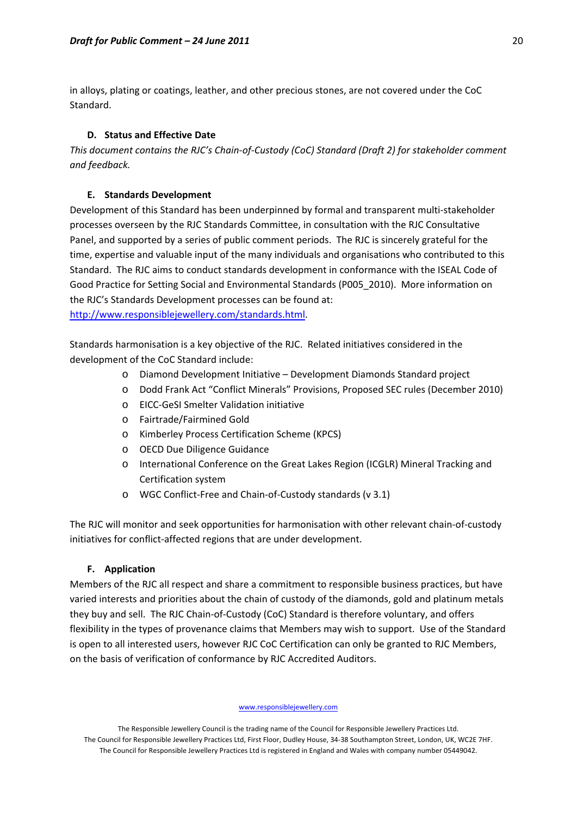in alloys, plating or coatings, leather, and other precious stones, are not covered under the CoC Standard.

## **D. Status and Effective Date**

*This document contains the RJC's Chain‐of‐Custody (CoC) Standard (Draft 2) for stakeholder comment and feedback.*

## **E. Standards Development**

Development of this Standard has been underpinned by formal and transparent multi‐stakeholder processes overseen by the RJC Standards Committee, in consultation with the RJC Consultative Panel, and supported by a series of public comment periods. The RJC is sincerely grateful for the time, expertise and valuable input of the many individuals and organisations who contributed to this Standard. The RJC aims to conduct standards development in conformance with the ISEAL Code of Good Practice for Setting Social and Environmental Standards (P005\_2010). More information on the RJC's Standards Development processes can be found at:

[http://www.responsiblejewellery.com/standards.html.](http://www.responsiblejewellery.com/standards.html)

Standards harmonisation is a key objective of the RJC. Related initiatives considered in the development of the CoC Standard include:

- o Diamond Development Initiative Development Diamonds Standard project
- o Dodd Frank Act "Conflict Minerals" Provisions, Proposed SEC rules (December 2010)
- o EICC‐GeSI Smelter Validation initiative
- o Fairtrade/Fairmined Gold
- o Kimberley Process Certification Scheme (KPCS)
- o OECD Due Diligence Guidance
- o International Conference on the Great Lakes Region (ICGLR) Mineral Tracking and Certification system
- o WGC Conflict‐Free and Chain‐of‐Custody standards (v 3.1)

The RJC will monitor and seek opportunities for harmonisation with other relevant chain‐of‐custody initiatives for conflict‐affected regions that are under development.

# **F. Application**

Members of the RJC all respect and share a commitment to responsible business practices, but have varied interests and priorities about the chain of custody of the diamonds, gold and platinum metals they buy and sell. The RJC Chain‐of‐Custody (CoC) Standard is therefore voluntary, and offers flexibility in the types of provenance claims that Members may wish to support. Use of the Standard is open to all interested users, however RJC CoC Certification can only be granted to RJC Members, on the basis of verification of conformance by RJC Accredited Auditors.

www.responsiblejewellery.com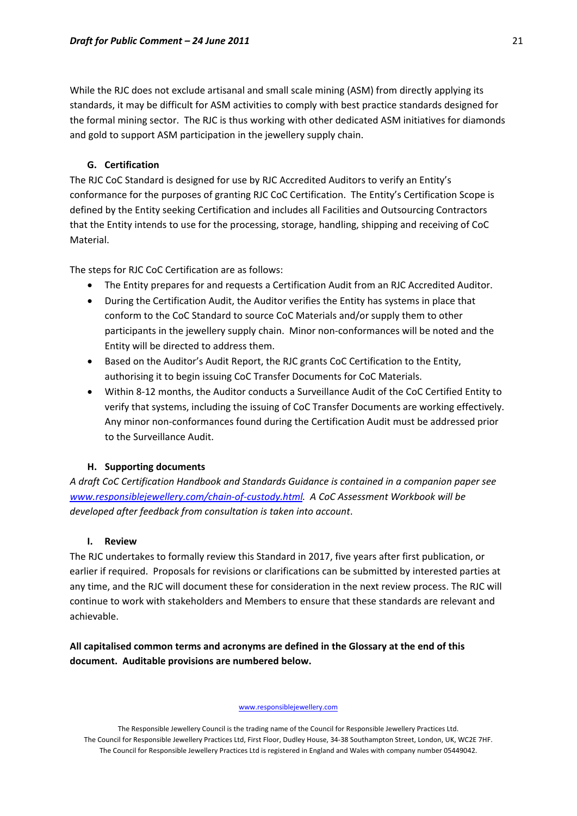While the RJC does not exclude artisanal and small scale mining (ASM) from directly applying its standards, it may be difficult for ASM activities to comply with best practice standards designed for the formal mining sector. The RJC is thus working with other dedicated ASM initiatives for diamonds and gold to support ASM participation in the jewellery supply chain.

## **G. Certification**

The RJC CoC Standard is designed for use by RJC Accredited Auditors to verify an Entity's conformance for the purposes of granting RJC CoC Certification. The Entity's Certification Scope is defined by the Entity seeking Certification and includes all Facilities and Outsourcing Contractors that the Entity intends to use for the processing, storage, handling, shipping and receiving of CoC Material.

The steps for RJC CoC Certification are as follows:

- The Entity prepares for and requests a Certification Audit from an RJC Accredited Auditor.
- During the Certification Audit, the Auditor verifies the Entity has systems in place that conform to the CoC Standard to source CoC Materials and/or supply them to other participants in the jewellery supply chain. Minor non‐conformances will be noted and the Entity will be directed to address them.
- Based on the Auditor's Audit Report, the RJC grants CoC Certification to the Entity, authorising it to begin issuing CoC Transfer Documents for CoC Materials.
- Within 8‐12 months, the Auditor conducts a Surveillance Audit of the CoC Certified Entity to verify that systems, including the issuing of CoC Transfer Documents are working effectively. Any minor non‐conformances found during the Certification Audit must be addressed prior to the Surveillance Audit.

# **H. Supporting documents**

*A draft CoC Certification Handbook and Standards Guidance is contained in a companion paper see [www.responsiblejewellery.com/chain](http://www.responsiblejewellery.com/chain-of-custody.html)‐of‐custody.html. A CoC Assessment Workbook will be developed after feedback from consultation is taken into account*.

#### **I. Review**

The RJC undertakes to formally review this Standard in 2017, five years after first publication, or earlier if required. Proposals for revisions or clarifications can be submitted by interested parties at any time, and the RJC will document these for consideration in the next review process. The RJC will continue to work with stakeholders and Members to ensure that these standards are relevant and achievable.

**All capitalised common terms and acronyms are defined in the Glossary at the end of this document. Auditable provisions are numbered below.**

#### www.responsiblejewellery.com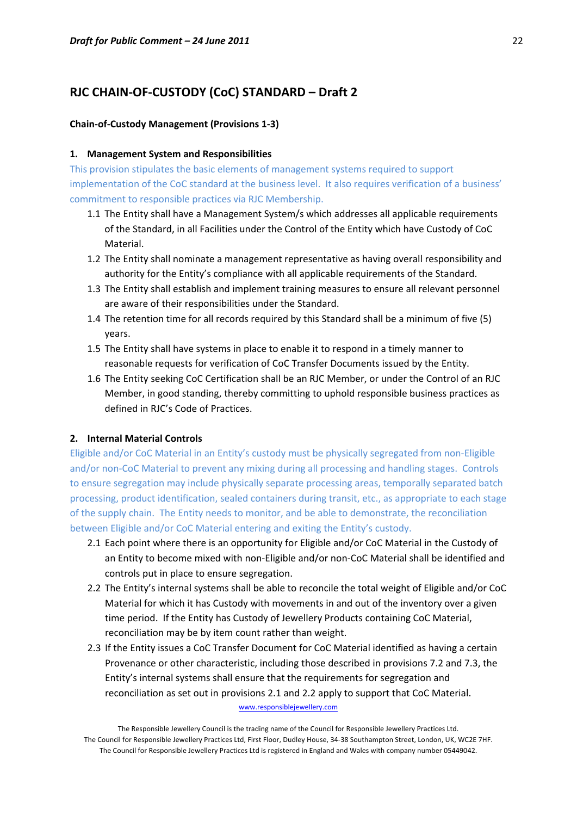# **RJC CHAIN‐OF‐CUSTODY (CoC) STANDARD – Draft 2**

## **Chain‐of‐Custody Management (Provisions 1‐3)**

## **1. Management System and Responsibilities**

This provision stipulates the basic elements of management systems required to support implementation of the CoC standard at the business level. It also requires verification of a business' commitment to responsible practices via RJC Membership.

- 1.1 The Entity shall have a Management System/s which addresses all applicable requirements of the Standard, in all Facilities under the Control of the Entity which have Custody of CoC Material.
- 1.2 The Entity shall nominate a management representative as having overall responsibility and authority for the Entity's compliance with all applicable requirements of the Standard.
- 1.3 The Entity shall establish and implement training measures to ensure all relevant personnel are aware of their responsibilities under the Standard.
- 1.4 The retention time for all records required by this Standard shall be a minimum of five (5) years.
- 1.5 The Entity shall have systems in place to enable it to respond in a timely manner to reasonable requests for verification of CoC Transfer Documents issued by the Entity.
- 1.6 The Entity seeking CoC Certification shall be an RJC Member, or under the Control of an RJC Member, in good standing, thereby committing to uphold responsible business practices as defined in RJC's Code of Practices.

# **2. Internal Material Controls**

Eligible and/or CoC Material in an Entity's custody must be physically segregated from non‐Eligible and/or non‐CoC Material to prevent any mixing during all processing and handling stages. Controls to ensure segregation may include physically separate processing areas, temporally separated batch processing, product identification, sealed containers during transit, etc., as appropriate to each stage of the supply chain. The Entity needs to monitor, and be able to demonstrate, the reconciliation between Eligible and/or CoC Material entering and exiting the Entity's custody.

- 2.1 Each point where there is an opportunity for Eligible and/or CoC Material in the Custody of an Entity to become mixed with non‐Eligible and/or non‐CoC Material shall be identified and controls put in place to ensure segregation.
- 2.2 The Entity's internal systems shall be able to reconcile the total weight of Eligible and/or CoC Material for which it has Custody with movements in and out of the inventory over a given time period. If the Entity has Custody of Jewellery Products containing CoC Material, reconciliation may be by item count rather than weight.
- 2.3 If the Entity issues a CoC Transfer Document for CoC Material identified as having a certain Provenance or other characteristic, including those described in provisions 7.2 and 7.3, the Entity's internal systems shall ensure that the requirements for segregation and reconciliation as set out in provisions 2.1 and 2.2 apply to support that CoC Material.

#### www.responsiblejewellery.com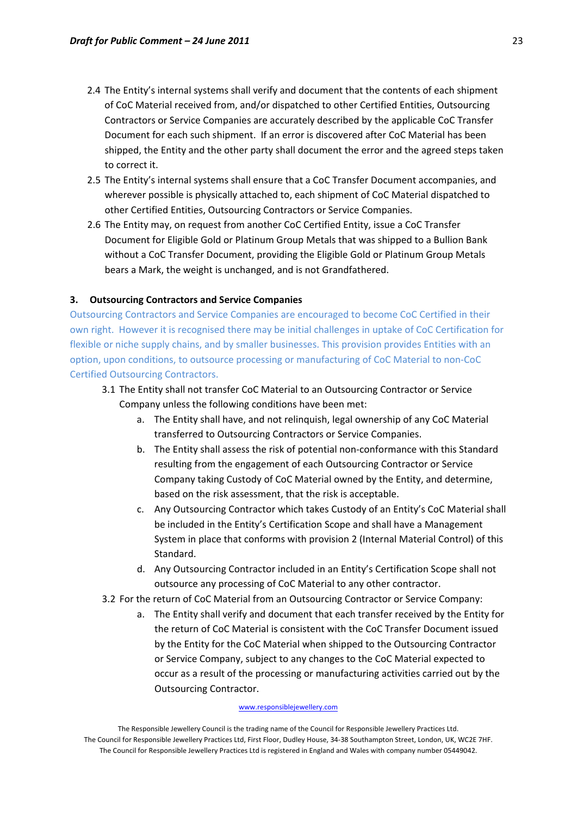- 2.4 The Entity's internal systems shall verify and document that the contents of each shipment of CoC Material received from, and/or dispatched to other Certified Entities, Outsourcing Contractors or Service Companies are accurately described by the applicable CoC Transfer Document for each such shipment. If an error is discovered after CoC Material has been shipped, the Entity and the other party shall document the error and the agreed steps taken to correct it.
- 2.5 The Entity's internal systems shall ensure that a CoC Transfer Document accompanies, and wherever possible is physically attached to, each shipment of CoC Material dispatched to other Certified Entities, Outsourcing Contractors or Service Companies.
- 2.6 The Entity may, on request from another CoC Certified Entity, issue a CoC Transfer Document for Eligible Gold or Platinum Group Metals that was shipped to a Bullion Bank without a CoC Transfer Document, providing the Eligible Gold or Platinum Group Metals bears a Mark, the weight is unchanged, and is not Grandfathered.

#### **3. Outsourcing Contractors and Service Companies**

Outsourcing Contractors and Service Companies are encouraged to become CoC Certified in their own right. However it is recognised there may be initial challenges in uptake of CoC Certification for flexible or niche supply chains, and by smaller businesses. This provision provides Entities with an option, upon conditions, to outsource processing or manufacturing of CoC Material to non‐CoC Certified Outsourcing Contractors.

- 3.1 The Entity shall not transfer CoC Material to an Outsourcing Contractor or Service Company unless the following conditions have been met:
	- a. The Entity shall have, and not relinquish, legal ownership of any CoC Material transferred to Outsourcing Contractors or Service Companies.
	- b. The Entity shall assess the risk of potential non‐conformance with this Standard resulting from the engagement of each Outsourcing Contractor or Service Company taking Custody of CoC Material owned by the Entity, and determine, based on the risk assessment, that the risk is acceptable.
	- c. Any Outsourcing Contractor which takes Custody of an Entity's CoC Material shall be included in the Entity's Certification Scope and shall have a Management System in place that conforms with provision 2 (Internal Material Control) of this Standard.
	- d. Any Outsourcing Contractor included in an Entity's Certification Scope shall not outsource any processing of CoC Material to any other contractor.
- 3.2 For the return of CoC Material from an Outsourcing Contractor or Service Company:
	- a. The Entity shall verify and document that each transfer received by the Entity for the return of CoC Material is consistent with the CoC Transfer Document issued by the Entity for the CoC Material when shipped to the Outsourcing Contractor or Service Company, subject to any changes to the CoC Material expected to occur as a result of the processing or manufacturing activities carried out by the Outsourcing Contractor.

#### www.responsiblejewellery.com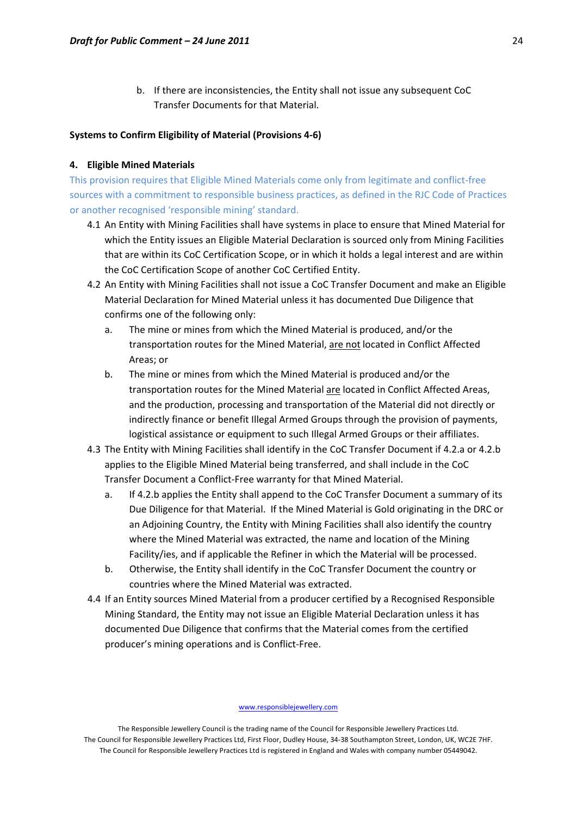b. If there are inconsistencies, the Entity shall not issue any subsequent CoC Transfer Documents for that Material.

## **Systems to Confirm Eligibility of Material (Provisions 4‐6)**

## **4. Eligible Mined Materials**

This provision requires that Eligible Mined Materials come only from legitimate and conflict‐free sources with a commitment to responsible business practices, as defined in the RJC Code of Practices or another recognised 'responsible mining' standard.

- 4.1 An Entity with Mining Facilities shall have systems in place to ensure that Mined Material for which the Entity issues an Eligible Material Declaration is sourced only from Mining Facilities that are within its CoC Certification Scope, or in which it holds a legal interest and are within the CoC Certification Scope of another CoC Certified Entity.
- 4.2 An Entity with Mining Facilities shall not issue a CoC Transfer Document and make an Eligible Material Declaration for Mined Material unless it has documented Due Diligence that confirms one of the following only:
	- a. The mine or mines from which the Mined Material is produced, and/or the transportation routes for the Mined Material, are not located in Conflict Affected Areas; or
	- b. The mine or mines from which the Mined Material is produced and/or the transportation routes for the Mined Material are located in Conflict Affected Areas, and the production, processing and transportation of the Material did not directly or indirectly finance or benefit Illegal Armed Groups through the provision of payments, logistical assistance or equipment to such Illegal Armed Groups or their affiliates.
- 4.3 The Entity with Mining Facilities shall identify in the CoC Transfer Document if 4.2.a or 4.2.b applies to the Eligible Mined Material being transferred, and shall include in the CoC Transfer Document a Conflict‐Free warranty for that Mined Material.
	- a. If 4.2.b applies the Entity shall append to the CoC Transfer Document a summary of its Due Diligence for that Material. If the Mined Material is Gold originating in the DRC or an Adjoining Country, the Entity with Mining Facilities shall also identify the country where the Mined Material was extracted, the name and location of the Mining Facility/ies, and if applicable the Refiner in which the Material will be processed.
	- b. Otherwise, the Entity shall identify in the CoC Transfer Document the country or countries where the Mined Material was extracted.
- 4.4 If an Entity sources Mined Material from a producer certified by a Recognised Responsible Mining Standard, the Entity may not issue an Eligible Material Declaration unless it has documented Due Diligence that confirms that the Material comes from the certified producer's mining operations and is Conflict‐Free.

www.responsiblejewellery.com

The Responsible Jewellery Council is the trading name of the Council for Responsible Jewellery Practices Ltd. The Council for Responsible Jewellery Practices Ltd, First Floor, Dudley House, 34‐38 Southampton Street, London, UK, WC2E 7HF. The Council for Responsible Jewellery Practices Ltd is registered in England and Wales with company number 05449042.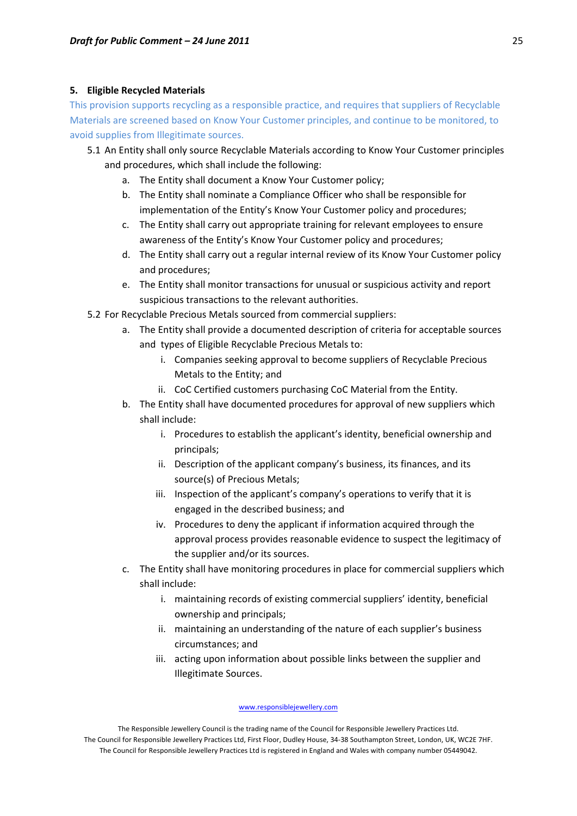#### **5. Eligible Recycled Materials**

This provision supports recycling as a responsible practice, and requires that suppliers of Recyclable Materials are screened based on Know Your Customer principles, and continue to be monitored, to avoid supplies from Illegitimate sources.

- 5.1 An Entity shall only source Recyclable Materials according to Know Your Customer principles and procedures, which shall include the following:
	- a. The Entity shall document a Know Your Customer policy;
	- b. The Entity shall nominate a Compliance Officer who shall be responsible for implementation of the Entity's Know Your Customer policy and procedures;
	- c. The Entity shall carry out appropriate training for relevant employees to ensure awareness of the Entity's Know Your Customer policy and procedures;
	- d. The Entity shall carry out a regular internal review of its Know Your Customer policy and procedures;
	- e. The Entity shall monitor transactions for unusual or suspicious activity and report suspicious transactions to the relevant authorities.
- 5.2 For Recyclable Precious Metals sourced from commercial suppliers:
	- a. The Entity shall provide a documented description of criteria for acceptable sources and types of Eligible Recyclable Precious Metals to:
		- i. Companies seeking approval to become suppliers of Recyclable Precious Metals to the Entity; and
		- ii. CoC Certified customers purchasing CoC Material from the Entity.
	- b. The Entity shall have documented procedures for approval of new suppliers which shall include:
		- i. Procedures to establish the applicant's identity, beneficial ownership and principals;
		- ii. Description of the applicant company's business, its finances, and its source(s) of Precious Metals;
		- iii. Inspection of the applicant's company's operations to verify that it is engaged in the described business; and
		- iv. Procedures to deny the applicant if information acquired through the approval process provides reasonable evidence to suspect the legitimacy of the supplier and/or its sources.
	- c. The Entity shall have monitoring procedures in place for commercial suppliers which shall include:
		- i. maintaining records of existing commercial suppliers' identity, beneficial ownership and principals;
		- ii. maintaining an understanding of the nature of each supplier's business circumstances; and
		- iii. acting upon information about possible links between the supplier and Illegitimate Sources.

www.responsiblejewellery.com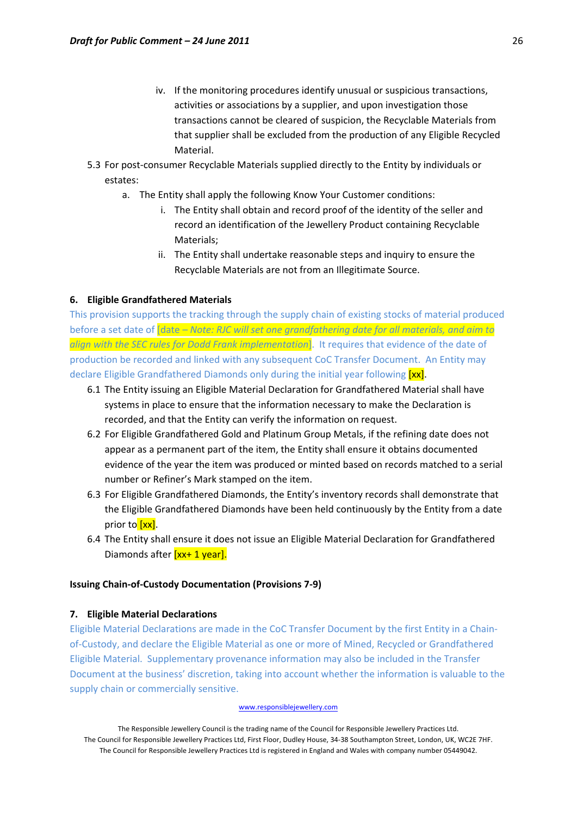- iv. If the monitoring procedures identify unusual or suspicious transactions, activities or associations by a supplier, and upon investigation those transactions cannot be cleared of suspicion, the Recyclable Materials from that supplier shall be excluded from the production of any Eligible Recycled Material.
- 5.3 For post‐consumer Recyclable Materials supplied directly to the Entity by individuals or estates:
	- a. The Entity shall apply the following Know Your Customer conditions:
		- i. The Entity shall obtain and record proof of the identity of the seller and record an identification of the Jewellery Product containing Recyclable Materials;
		- ii. The Entity shall undertake reasonable steps and inquiry to ensure the Recyclable Materials are not from an Illegitimate Source.

## **6. Eligible Grandfathered Materials**

This provision supports the tracking through the supply chain of existing stocks of material produced before a set date of [date – *Note: RJC will set one grandfathering date for all materials, and aim to align with the SEC rules for Dodd Frank implementation*]. It requires that evidence of the date of production be recorded and linked with any subsequent CoC Transfer Document. An Entity may declare Eligible Grandfathered Diamonds only during the initial year following [xx].

- 6.1 The Entity issuing an Eligible Material Declaration for Grandfathered Material shall have systems in place to ensure that the information necessary to make the Declaration is recorded, and that the Entity can verify the information on request.
- 6.2 For Eligible Grandfathered Gold and Platinum Group Metals, if the refining date does not appear as a permanent part of the item, the Entity shall ensure it obtains documented evidence of the year the item was produced or minted based on records matched to a serial number or Refiner's Mark stamped on the item.
- 6.3 For Eligible Grandfathered Diamonds, the Entity's inventory records shall demonstrate that the Eligible Grandfathered Diamonds have been held continuously by the Entity from a date prior to [xx].
- 6.4 The Entity shall ensure it does not issue an Eligible Material Declaration for Grandfathered Diamonds after [xx+ 1 year].

#### **Issuing Chain‐of‐Custody Documentation (Provisions 7‐9)**

#### **7. Eligible Material Declarations**

Eligible Material Declarations are made in the CoC Transfer Document by the first Entity in a Chain‐ of‐Custody, and declare the Eligible Material as one or more of Mined, Recycled or Grandfathered Eligible Material. Supplementary provenance information may also be included in the Transfer Document at the business' discretion, taking into account whether the information is valuable to the supply chain or commercially sensitive.

#### www.responsiblejewellery.com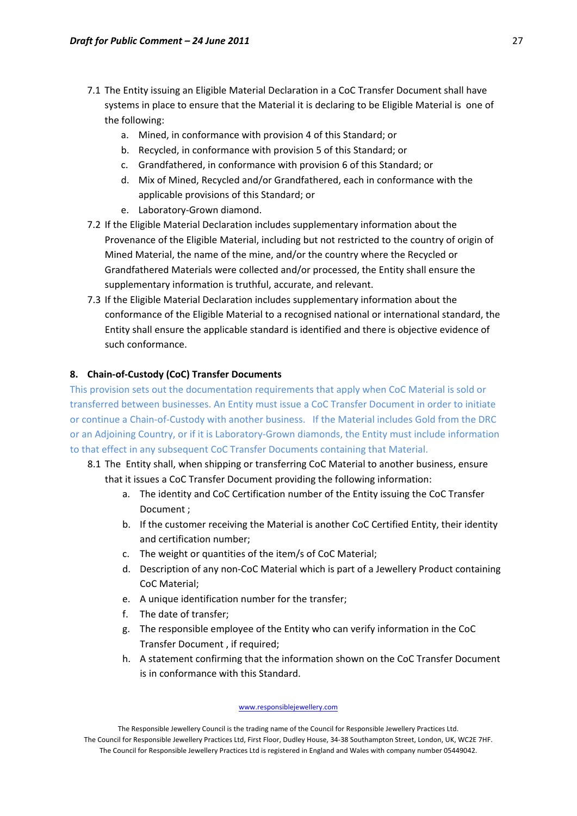- 7.1 The Entity issuing an Eligible Material Declaration in a CoC Transfer Document shall have systems in place to ensure that the Material it is declaring to be Eligible Material is one of the following:
	- a. Mined, in conformance with provision 4 of this Standard; or
	- b. Recycled, in conformance with provision 5 of this Standard; or
	- c. Grandfathered, in conformance with provision 6 of this Standard; or
	- d. Mix of Mined, Recycled and/or Grandfathered, each in conformance with the applicable provisions of this Standard; or
	- e. Laboratory‐Grown diamond.
- 7.2 If the Eligible Material Declaration includes supplementary information about the Provenance of the Eligible Material, including but not restricted to the country of origin of Mined Material, the name of the mine, and/or the country where the Recycled or Grandfathered Materials were collected and/or processed, the Entity shall ensure the supplementary information is truthful, accurate, and relevant.
- 7.3 If the Eligible Material Declaration includes supplementary information about the conformance of the Eligible Material to a recognised national or international standard, the Entity shall ensure the applicable standard is identified and there is objective evidence of such conformance.

## **8. Chain‐of‐Custody (CoC) Transfer Documents**

This provision sets out the documentation requirements that apply when CoC Material is sold or transferred between businesses. An Entity must issue a CoC Transfer Document in order to initiate or continue a Chain‐of‐Custody with another business. If the Material includes Gold from the DRC or an Adjoining Country, or if it is Laboratory‐Grown diamonds, the Entity must include information to that effect in any subsequent CoC Transfer Documents containing that Material.

- 8.1 The Entity shall, when shipping or transferring CoC Material to another business, ensure that it issues a CoC Transfer Document providing the following information:
	- a. The identity and CoC Certification number of the Entity issuing the CoC Transfer Document ;
	- b. If the customer receiving the Material is another CoC Certified Entity, their identity and certification number;
	- c. The weight or quantities of the item/s of CoC Material;
	- d. Description of any non‐CoC Material which is part of a Jewellery Product containing CoC Material;
	- e. A unique identification number for the transfer;
	- f. The date of transfer;
	- g. The responsible employee of the Entity who can verify information in the CoC Transfer Document , if required;
	- h. A statement confirming that the information shown on the CoC Transfer Document is in conformance with this Standard.

#### www.responsiblejewellery.com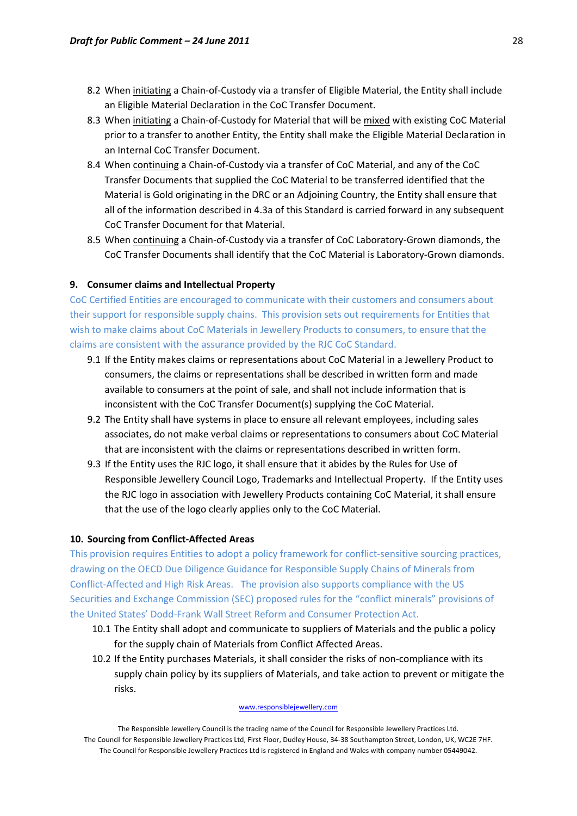- 8.2 When initiating a Chain-of-Custody via a transfer of Eligible Material, the Entity shall include an Eligible Material Declaration in the CoC Transfer Document.
- 8.3 When initiating a Chain-of-Custody for Material that will be mixed with existing CoC Material prior to a transfer to another Entity, the Entity shall make the Eligible Material Declaration in an Internal CoC Transfer Document.
- 8.4 When continuing a Chain‐of‐Custody via a transfer of CoC Material, and any of the CoC Transfer Documents that supplied the CoC Material to be transferred identified that the Material is Gold originating in the DRC or an Adjoining Country, the Entity shall ensure that all of the information described in 4.3a of this Standard is carried forward in any subsequent CoC Transfer Document for that Material.
- 8.5 When continuing a Chain‐of‐Custody via a transfer of CoC Laboratory‐Grown diamonds, the CoC Transfer Documents shall identify that the CoC Material is Laboratory‐Grown diamonds.

## **9. Consumer claims and Intellectual Property**

CoC Certified Entities are encouraged to communicate with their customers and consumers about their support for responsible supply chains. This provision sets out requirements for Entities that wish to make claims about CoC Materials in Jewellery Products to consumers, to ensure that the claims are consistent with the assurance provided by the RJC CoC Standard.

- 9.1 If the Entity makes claims or representations about CoC Material in a Jewellery Product to consumers, the claims or representations shall be described in written form and made available to consumers at the point of sale, and shall not include information that is inconsistent with the CoC Transfer Document(s) supplying the CoC Material.
- 9.2 The Entity shall have systems in place to ensure all relevant employees, including sales associates, do not make verbal claims or representations to consumers about CoC Material that are inconsistent with the claims or representations described in written form.
- 9.3 If the Entity uses the RJC logo, it shall ensure that it abides by the Rules for Use of Responsible Jewellery Council Logo, Trademarks and Intellectual Property. If the Entity uses the RJC logo in association with Jewellery Products containing CoC Material, it shall ensure that the use of the logo clearly applies only to the CoC Material.

#### **10. Sourcing from Conflict‐Affected Areas**

This provision requires Entities to adopt a policy framework for conflict-sensitive sourcing practices, drawing on the OECD Due Diligence Guidance for Responsible Supply Chains of Minerals from Conflict‐Affected and High Risk Areas. The provision also supports compliance with the US Securities and Exchange Commission (SEC) proposed rules for the "conflict minerals" provisions of the United States' Dodd‐Frank Wall Street Reform and Consumer Protection Act.

- 10.1 The Entity shall adopt and communicate to suppliers of Materials and the public a policy for the supply chain of Materials from Conflict Affected Areas.
- 10.2 If the Entity purchases Materials, it shall consider the risks of non-compliance with its supply chain policy by its suppliers of Materials, and take action to prevent or mitigate the risks.

#### www.responsiblejewellery.com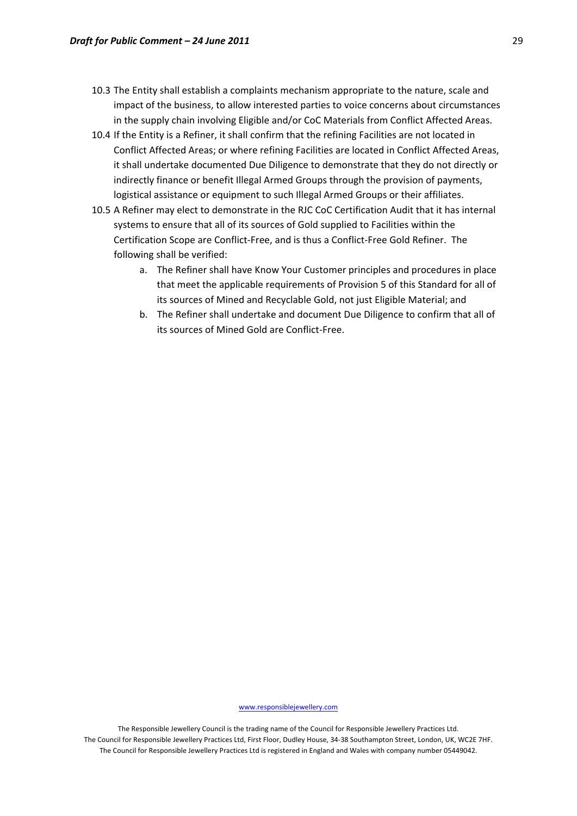- 10.3 The Entity shall establish a complaints mechanism appropriate to the nature, scale and impact of the business, to allow interested parties to voice concerns about circumstances in the supply chain involving Eligible and/or CoC Materials from Conflict Affected Areas.
- 10.4 If the Entity is a Refiner, it shall confirm that the refining Facilities are not located in Conflict Affected Areas; or where refining Facilities are located in Conflict Affected Areas, it shall undertake documented Due Diligence to demonstrate that they do not directly or indirectly finance or benefit Illegal Armed Groups through the provision of payments, logistical assistance or equipment to such Illegal Armed Groups or their affiliates.
- 10.5 A Refiner may elect to demonstrate in the RJC CoC Certification Audit that it has internal systems to ensure that all of its sources of Gold supplied to Facilities within the Certification Scope are Conflict‐Free, and is thus a Conflict‐Free Gold Refiner. The following shall be verified:
	- a. The Refiner shall have Know Your Customer principles and procedures in place that meet the applicable requirements of Provision 5 of this Standard for all of its sources of Mined and Recyclable Gold, not just Eligible Material; and
	- b. The Refiner shall undertake and document Due Diligence to confirm that all of its sources of Mined Gold are Conflict‐Free.

www.responsiblejewellery.com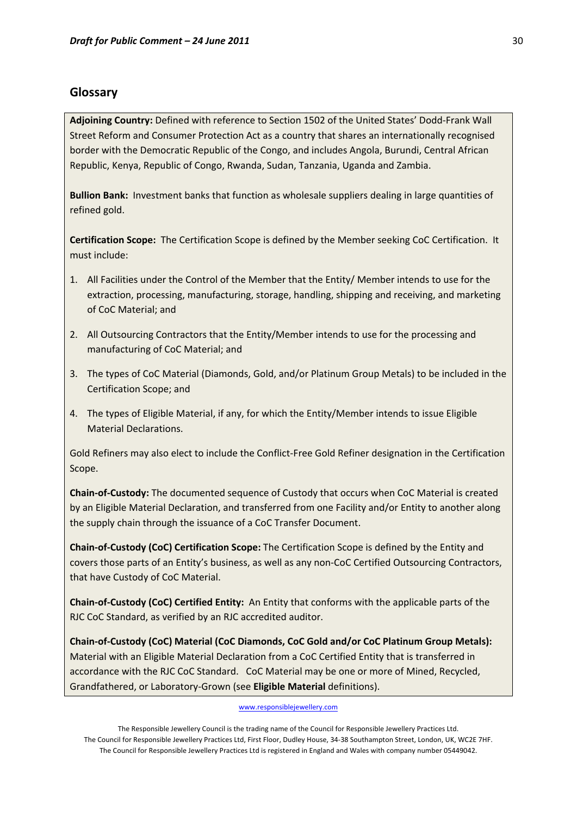# **Glossary**

**Adjoining Country:** Defined with reference to Section 1502 of the United States' Dodd‐Frank Wall Street Reform and Consumer Protection Act as a country that shares an internationally recognised border with the Democratic Republic of the Congo, and includes Angola, Burundi, Central African Republic, Kenya, Republic of Congo, Rwanda, Sudan, Tanzania, Uganda and Zambia.

**Bullion Bank:** Investment banks that function as wholesale suppliers dealing in large quantities of refined gold.

**Certification Scope:** The Certification Scope is defined by the Member seeking CoC Certification. It must include:

- 1. All Facilities under the Control of the Member that the Entity/ Member intends to use for the extraction, processing, manufacturing, storage, handling, shipping and receiving, and marketing of CoC Material; and
- 2. All Outsourcing Contractors that the Entity/Member intends to use for the processing and manufacturing of CoC Material; and
- 3. The types of CoC Material (Diamonds, Gold, and/or Platinum Group Metals) to be included in the Certification Scope; and
- 4. The types of Eligible Material, if any, for which the Entity/Member intends to issue Eligible Material Declarations.

Gold Refiners may also elect to include the Conflict‐Free Gold Refiner designation in the Certification Scope.

**Chain‐of‐Custody:** The documented sequence of Custody that occurs when CoC Material is created by an Eligible Material Declaration, and transferred from one Facility and/or Entity to another along the supply chain through the issuance of a CoC Transfer Document.

**Chain‐of‐Custody (CoC) Certification Scope:** The Certification Scope is defined by the Entity and covers those parts of an Entity's business, as well as any non‐CoC Certified Outsourcing Contractors, that have Custody of CoC Material.

**Chain‐of‐Custody (CoC) Certified Entity:** An Entity that conforms with the applicable parts of the RJC CoC Standard, as verified by an RJC accredited auditor.

**Chain‐of‐Custody (CoC) Material (CoC Diamonds, CoC Gold and/or CoC Platinum Group Metals):**  Material with an Eligible Material Declaration from a CoC Certified Entity that is transferred in accordance with the RJC CoC Standard. CoC Material may be one or more of Mined, Recycled, Grandfathered, or Laboratory‐Grown (see **Eligible Material** definitions).

#### www.responsiblejewellery.com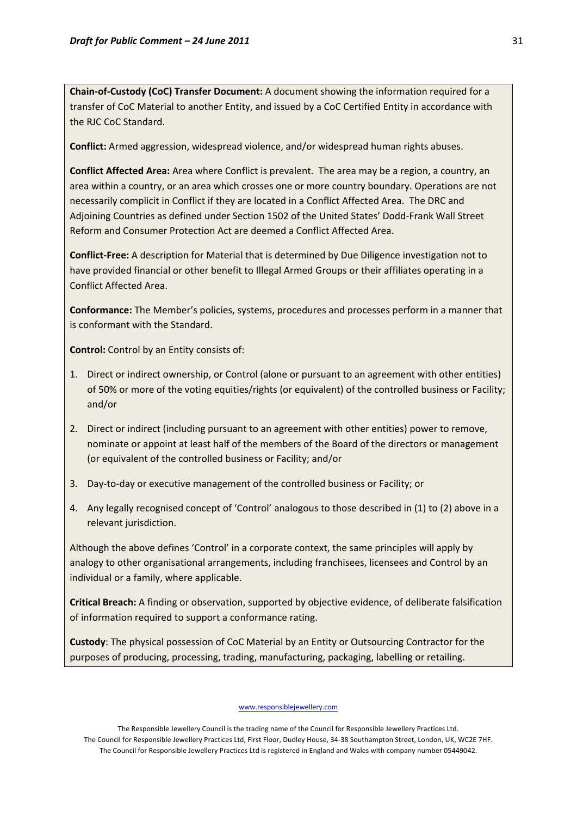**Chain‐of‐Custody (CoC) Transfer Document:** A document showing the information required for a transfer of CoC Material to another Entity, and issued by a CoC Certified Entity in accordance with the RJC CoC Standard.

**Conflict:** Armed aggression, widespread violence, and/or widespread human rights abuses.

**Conflict Affected Area:** Area where Conflict is prevalent. The area may be a region, a country, an area within a country, or an area which crosses one or more country boundary. Operations are not necessarily complicit in Conflict if they are located in a Conflict Affected Area. The DRC and Adjoining Countries as defined under Section 1502 of the United States' Dodd‐Frank Wall Street Reform and Consumer Protection Act are deemed a Conflict Affected Area.

**Conflict‐Free:** A description for Material that is determined by Due Diligence investigation not to have provided financial or other benefit to Illegal Armed Groups or their affiliates operating in a Conflict Affected Area.

**Conformance:** The Member's policies, systems, procedures and processes perform in a manner that is conformant with the Standard.

**Control:** Control by an Entity consists of:

- 1. Direct or indirect ownership, or Control (alone or pursuant to an agreement with other entities) of 50% or more of the voting equities/rights (or equivalent) of the controlled business or Facility; and/or
- 2. Direct or indirect (including pursuant to an agreement with other entities) power to remove, nominate or appoint at least half of the members of the Board of the directors or management (or equivalent of the controlled business or Facility; and/or
- 3. Day‐to‐day or executive management of the controlled business or Facility; or
- 4. Any legally recognised concept of 'Control' analogous to those described in (1) to (2) above in a relevant jurisdiction.

Although the above defines 'Control' in a corporate context, the same principles will apply by analogy to other organisational arrangements, including franchisees, licensees and Control by an individual or a family, where applicable.

**Critical Breach:** A finding or observation, supported by objective evidence, of deliberate falsification of information required to support a conformance rating.

**Custody**: The physical possession of CoC Material by an Entity or Outsourcing Contractor for the purposes of producing, processing, trading, manufacturing, packaging, labelling or retailing.

www.responsiblejewellery.com

The Responsible Jewellery Council is the trading name of the Council for Responsible Jewellery Practices Ltd. The Council for Responsible Jewellery Practices Ltd, First Floor, Dudley House, 34‐38 Southampton Street, London, UK, WC2E 7HF. The Council for Responsible Jewellery Practices Ltd is registered in England and Wales with company number 05449042.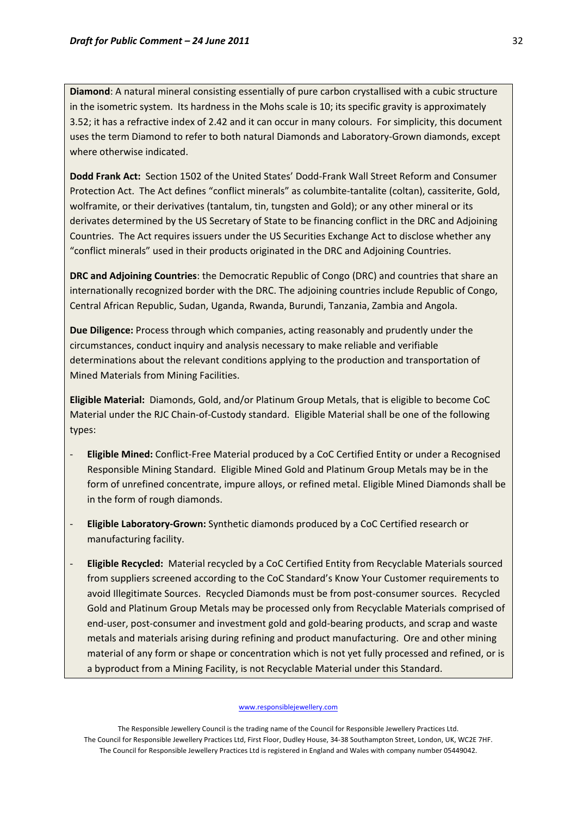**Diamond**: A natural mineral consisting essentially of pure carbon crystallised with a cubic structure in the isometric system. Its hardness in the Mohs scale is 10; its specific gravity is approximately 3.52; it has a refractive index of 2.42 and it can occur in many colours. For simplicity, this document uses the term Diamond to refer to both natural Diamonds and Laboratory‐Grown diamonds, except where otherwise indicated.

**Dodd Frank Act:** Section 1502 of the United States' Dodd‐Frank Wall Street Reform and Consumer Protection Act. The Act defines "conflict minerals" as columbite‐tantalite (coltan), cassiterite, Gold, wolframite, or their derivatives (tantalum, tin, tungsten and Gold); or any other mineral or its derivates determined by the US Secretary of State to be financing conflict in the DRC and Adjoining Countries. The Act requires issuers under the US Securities Exchange Act to disclose whether any "conflict minerals" used in their products originated in the DRC and Adjoining Countries.

**DRC and Adjoining Countries**: the Democratic Republic of Congo (DRC) and countries that share an internationally recognized border with the DRC. The adjoining countries include Republic of Congo, Central African Republic, Sudan, Uganda, Rwanda, Burundi, Tanzania, Zambia and Angola.

**Due Diligence:** Process through which companies, acting reasonably and prudently under the circumstances, conduct inquiry and analysis necessary to make reliable and verifiable determinations about the relevant conditions applying to the production and transportation of Mined Materials from Mining Facilities.

**Eligible Material:** Diamonds, Gold, and/or Platinum Group Metals, that is eligible to become CoC Material under the RJC Chain‐of‐Custody standard. Eligible Material shall be one of the following types:

- ‐ **Eligible Mined:** Conflict‐Free Material produced by a CoC Certified Entity or under a Recognised Responsible Mining Standard. Eligible Mined Gold and Platinum Group Metals may be in the form of unrefined concentrate, impure alloys, or refined metal. Eligible Mined Diamonds shall be in the form of rough diamonds.
- ‐ **Eligible Laboratory‐Grown:** Synthetic diamonds produced by a CoC Certified research or manufacturing facility.
- ‐ **Eligible Recycled:** Material recycled by a CoC Certified Entity from Recyclable Materials sourced from suppliers screened according to the CoC Standard's Know Your Customer requirements to avoid Illegitimate Sources. Recycled Diamonds must be from post-consumer sources. Recycled Gold and Platinum Group Metals may be processed only from Recyclable Materials comprised of end-user, post-consumer and investment gold and gold-bearing products, and scrap and waste metals and materials arising during refining and product manufacturing. Ore and other mining material of any form or shape or concentration which is not yet fully processed and refined, or is a byproduct from a Mining Facility, is not Recyclable Material under this Standard.

www.responsiblejewellery.com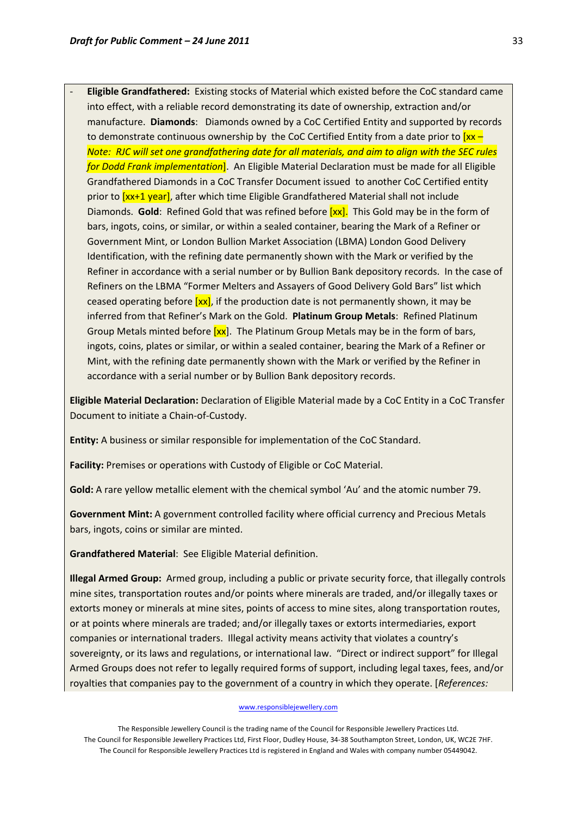‐ **Eligible Grandfathered:** Existing stocks of Material which existed before the CoC standard came into effect, with a reliable record demonstrating its date of ownership, extraction and/or manufacture. **Diamonds**: Diamonds owned by a CoC Certified Entity and supported by records to demonstrate continuous ownership by the CoC Certified Entity from a date prior to  $\frac{1}{x}$  – Note: RJC will set one grandfathering date for all materials, and aim to align with the SEC rules *for Dodd Frank implementation*]. An Eligible Material Declaration must be made for all Eligible Grandfathered Diamonds in a CoC Transfer Document issued to another CoC Certified entity prior to [xx+1 year], after which time Eligible Grandfathered Material shall not include Diamonds. **Gold**: Refined Gold that was refined before [xx]. This Gold may be in the form of bars, ingots, coins, or similar, or within a sealed container, bearing the Mark of a Refiner or Government Mint, or London Bullion Market Association (LBMA) London Good Delivery Identification, with the refining date permanently shown with the Mark or verified by the Refiner in accordance with a serial number or by Bullion Bank depository records. In the case of Refiners on the LBMA "Former Melters and Assayers of Good Delivery Gold Bars" list which ceased operating before  $[xx]$ , if the production date is not permanently shown, it may be inferred from that Refiner's Mark on the Gold. **Platinum Group Metals**: Refined Platinum Group Metals minted before  $[xx]$ . The Platinum Group Metals may be in the form of bars, ingots, coins, plates or similar, or within a sealed container, bearing the Mark of a Refiner or Mint, with the refining date permanently shown with the Mark or verified by the Refiner in accordance with a serial number or by Bullion Bank depository records.

**Eligible Material Declaration:** Declaration of Eligible Material made by a CoC Entity in a CoC Transfer Document to initiate a Chain‐of‐Custody.

**Entity:** A business or similar responsible for implementation of the CoC Standard.

**Facility:** Premises or operations with Custody of Eligible or CoC Material.

**Gold:** A rare yellow metallic element with the chemical symbol 'Au' and the atomic number 79.

**Government Mint:** A government controlled facility where official currency and Precious Metals bars, ingots, coins or similar are minted.

**Grandfathered Material**: See Eligible Material definition.

**Illegal Armed Group:** Armed group, including a public or private security force, that illegally controls mine sites, transportation routes and/or points where minerals are traded, and/or illegally taxes or extorts money or minerals at mine sites, points of access to mine sites, along transportation routes, or at points where minerals are traded; and/or illegally taxes or extorts intermediaries, export companies or international traders. Illegal activity means activity that violates a country's sovereignty, or its laws and regulations, or international law. "Direct or indirect support" for Illegal Armed Groups does not refer to legally required forms of support, including legal taxes, fees, and/or royalties that companies pay to the government of a country in which they operate. [*References:* 

#### www.responsiblejewellery.com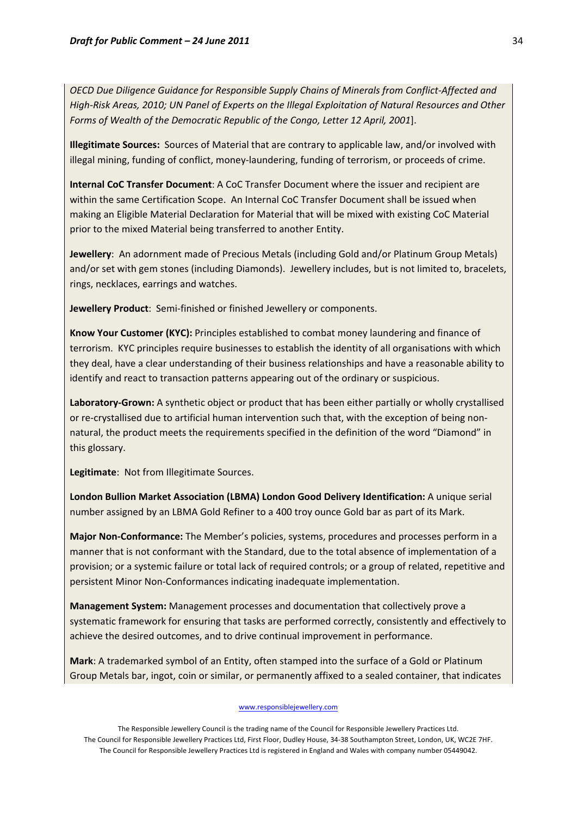*OECD Due Diligence Guidance for Responsible Supply Chains of Minerals from Conflict‐Affected and* High-Risk Areas, 2010; UN Panel of Experts on the Illegal Exploitation of Natural Resources and Other *Forms of Wealth of the Democratic Republic of the Congo, Letter 12 April, 2001*].

**Illegitimate Sources:** Sources of Material that are contrary to applicable law, and/or involved with illegal mining, funding of conflict, money‐laundering, funding of terrorism, or proceeds of crime.

**Internal CoC Transfer Document**: A CoC Transfer Document where the issuer and recipient are within the same Certification Scope. An Internal CoC Transfer Document shall be issued when making an Eligible Material Declaration for Material that will be mixed with existing CoC Material prior to the mixed Material being transferred to another Entity.

**Jewellery**: An adornment made of Precious Metals (including Gold and/or Platinum Group Metals) and/or set with gem stones (including Diamonds). Jewellery includes, but is not limited to, bracelets, rings, necklaces, earrings and watches.

**Jewellery Product**: Semi‐finished or finished Jewellery or components.

**Know Your Customer (KYC):** Principles established to combat money laundering and finance of terrorism. KYC principles require businesses to establish the identity of all organisations with which they deal, have a clear understanding of their business relationships and have a reasonable ability to identify and react to transaction patterns appearing out of the ordinary or suspicious.

**Laboratory‐Grown:** A synthetic object or product that has been either partially or wholly crystallised or re-crystallised due to artificial human intervention such that, with the exception of being nonnatural, the product meets the requirements specified in the definition of the word "Diamond" in this glossary.

**Legitimate**: Not from Illegitimate Sources.

**London Bullion Market Association (LBMA) London Good Delivery Identification:** A unique serial number assigned by an LBMA Gold Refiner to a 400 troy ounce Gold bar as part of its Mark.

**Major Non‐Conformance:** The Member's policies, systems, procedures and processes perform in a manner that is not conformant with the Standard, due to the total absence of implementation of a provision; or a systemic failure or total lack of required controls; or a group of related, repetitive and persistent Minor Non‐Conformances indicating inadequate implementation.

**Management System:** Management processes and documentation that collectively prove a systematic framework for ensuring that tasks are performed correctly, consistently and effectively to achieve the desired outcomes, and to drive continual improvement in performance.

**Mark**: A trademarked symbol of an Entity, often stamped into the surface of a Gold or Platinum Group Metals bar, ingot, coin or similar, or permanently affixed to a sealed container, that indicates

#### www.responsiblejewellery.com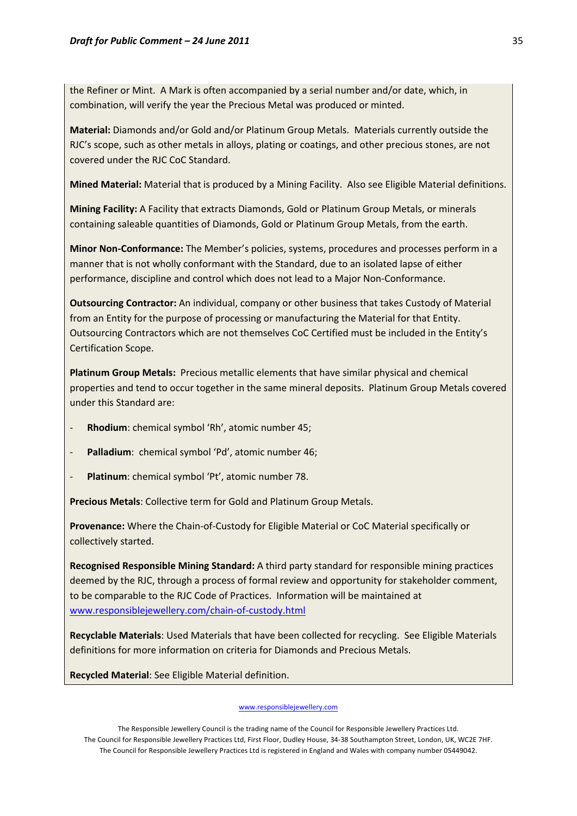the Refiner or Mint. A Mark is often accompanied by a serial number and/or date, which, in combination, will verify the year the Precious Metal was produced or minted.

**Material:** Diamonds and/or Gold and/or Platinum Group Metals. Materials currently outside the RJC's scope, such as other metals in alloys, plating or coatings, and other precious stones, are not covered under the RJC CoC Standard.

**Mined Material:** Material that is produced by a Mining Facility. Also see Eligible Material definitions.

**Mining Facility:** A Facility that extracts Diamonds, Gold or Platinum Group Metals, or minerals containing saleable quantities of Diamonds, Gold or Platinum Group Metals, from the earth.

**Minor Non‐Conformance:** The Member's policies, systems, procedures and processes perform in a manner that is not wholly conformant with the Standard, due to an isolated lapse of either performance, discipline and control which does not lead to a Major Non‐Conformance.

**Outsourcing Contractor:** An individual, company or other business that takes Custody of Material from an Entity for the purpose of processing or manufacturing the Material for that Entity. Outsourcing Contractors which are not themselves CoC Certified must be included in the Entity's Certification Scope.

**Platinum Group Metals:** Precious metallic elements that have similar physical and chemical properties and tend to occur together in the same mineral deposits. Platinum Group Metals covered under this Standard are:

- ‐ **Rhodium**: chemical symbol 'Rh', atomic number 45;
- ‐ **Palladium**: chemical symbol 'Pd', atomic number 46;
- ‐ **Platinum**: chemical symbol 'Pt', atomic number 78.

**Precious Metals**: Collective term for Gold and Platinum Group Metals.

**Provenance:** Where the Chain‐of‐Custody for Eligible Material or CoC Material specifically or collectively started.

**Recognised Responsible Mining Standard:** A third party standard for responsible mining practices deemed by the RJC, through a process of formal review and opportunity for stakeholder comment, to be comparable to the RJC Code of Practices. Information will be maintained at [www.responsiblejewellery.com/chain](http://www.responsiblejewellery.com/chain-of-custody.html)‐of‐custody.html

**Recyclable Materials**: Used Materials that have been collected for recycling. See Eligible Materials definitions for more information on criteria for Diamonds and Precious Metals.

**Recycled Material**: See Eligible Material definition.

www.responsiblejewellery.com